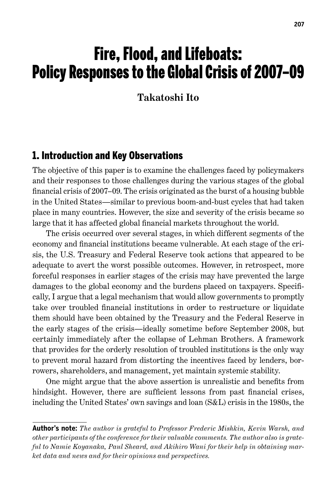# Fire, Flood, and Lifeboats: Policy Responses to the Global Crisis of 2007–09

**Takatoshi Ito**

### 1. Introduction and Key Observations

The objective of this paper is to examine the challenges faced by policymakers and their responses to those challenges during the various stages of the global financial crisis of 2007–09. The crisis originated as the burst of a housing bubble in the United States—similar to previous boom-and-bust cycles that had taken place in many countries. However, the size and severity of the crisis became so large that it has affected global financial markets throughout the world.

The crisis occurred over several stages, in which different segments of the economy and financial institutions became vulnerable. At each stage of the crisis, the U.S. Treasury and Federal Reserve took actions that appeared to be adequate to avert the worst possible outcomes. However, in retrospect, more forceful responses in earlier stages of the crisis may have prevented the large damages to the global economy and the burdens placed on taxpayers. Specifically, I argue that a legal mechanism that would allow governments to promptly take over troubled financial institutions in order to restructure or liquidate them should have been obtained by the Treasury and the Federal Reserve in the early stages of the crisis—ideally sometime before September 2008, but certainly immediately after the collapse of Lehman Brothers. A framework that provides for the orderly resolution of troubled institutions is the only way to prevent moral hazard from distorting the incentives faced by lenders, borrowers, shareholders, and management, yet maintain systemic stability.

One might argue that the above assertion is unrealistic and benefits from hindsight. However, there are sufficient lessons from past financial crises, including the United States' own savings and loan (S&L) crisis in the 1980s, the

**Author's note:** *The author is grateful to Professor Frederic Mishkin, Kevin Warsh, and other participants of the conference for their valuable comments. The author also is grateful to Namie Koyanaka, Paul Sheard, and Akihiro Wani for their help in obtaining market data and news and for their opinions and perspectives.*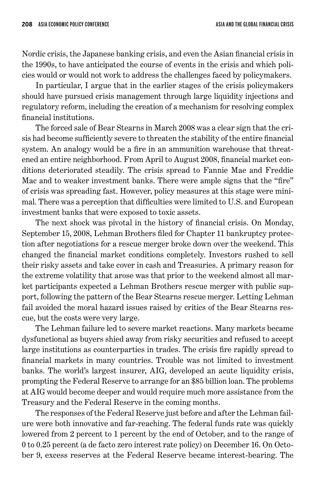Nordic crisis, the Japanese banking crisis, and even the Asian financial crisis in the 1990s, to have anticipated the course of events in the crisis and which policies would or would not work to address the challenges faced by policymakers.

In particular, I argue that in the earlier stages of the crisis policymakers should have pursued crisis management through large liquidity injections and regulatory reform, including the creation of a mechanism for resolving complex financial institutions.

The forced sale of Bear Stearns in March 2008 was a clear sign that the crisis had become sufficiently severe to threaten the stability of the entire financial system. An analogy would be a fire in an ammunition warehouse that threatened an entire neighborhood. From April to August 2008, financial market conditions deteriorated steadily. The crisis spread to Fannie Mae and Freddie Mac and to weaker investment banks. There were ample signs that the "fire" of crisis was spreading fast. However, policy measures at this stage were minimal. There was a perception that difficulties were limited to U.S. and European investment banks that were exposed to toxic assets.

The next shock was pivotal in the history of financial crisis. On Monday, September 15, 2008, Lehman Brothers filed for Chapter 11 bankruptcy protection after negotiations for a rescue merger broke down over the weekend. This changed the financial market conditions completely. Investors rushed to sell their risky assets and take cover in cash and Treasuries. A primary reason for the extreme volatility that arose was that prior to the weekend almost all market participants expected a Lehman Brothers rescue merger with public support, following the pattern of the Bear Stearns rescue merger. Letting Lehman fail avoided the moral hazard issues raised by critics of the Bear Stearns rescue, but the costs were very large.

The Lehman failure led to severe market reactions. Many markets became dysfunctional as buyers shied away from risky securities and refused to accept large institutions as counterparties in trades. The crisis fire rapidly spread to financial markets in many countries. Trouble was not limited to investment banks. The world's largest insurer, AIG, developed an acute liquidity crisis, prompting the Federal Reserve to arrange for an \$85 billion loan. The problems at AIG would become deeper and would require much more assistance from the Treasury and the Federal Reserve in the coming months.

The responses of the Federal Reserve just before and after the Lehman failure were both innovative and far-reaching. The federal funds rate was quickly lowered from 2 percent to 1 percent by the end of October, and to the range of 0 to 0.25 percent (a de facto zero interest rate policy) on December 16. On October 9, excess reserves at the Federal Reserve became interest-bearing. The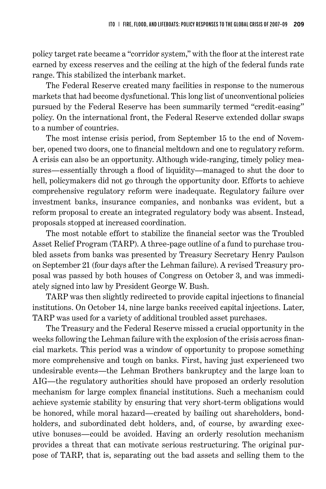policy target rate became a "corridor system," with the floor at the interest rate earned by excess reserves and the ceiling at the high of the federal funds rate range. This stabilized the interbank market.

The Federal Reserve created many facilities in response to the numerous markets that had become dysfunctional. This long list of unconventional policies pursued by the Federal Reserve has been summarily termed "credit-easing" policy. On the international front, the Federal Reserve extended dollar swaps to a number of countries.

The most intense crisis period, from September 15 to the end of November, opened two doors, one to financial meltdown and one to regulatory reform. A crisis can also be an opportunity. Although wide-ranging, timely policy measures—essentially through a flood of liquidity—managed to shut the door to hell, policymakers did not go through the opportunity door. Efforts to achieve comprehensive regulatory reform were inadequate. Regulatory failure over investment banks, insurance companies, and nonbanks was evident, but a reform proposal to create an integrated regulatory body was absent. Instead, proposals stopped at increased coordination.

The most notable effort to stabilize the financial sector was the Troubled Asset Relief Program (TARP). A three-page outline of a fund to purchase troubled assets from banks was presented by Treasury Secretary Henry Paulson on September 21 (four days after the Lehman failure). A revised Treasury proposal was passed by both houses of Congress on October 3, and was immediately signed into law by President George W. Bush.

TARP was then slightly redirected to provide capital injections to financial institutions. On October 14, nine large banks received capital injections. Later, TARP was used for a variety of additional troubled asset purchases.

The Treasury and the Federal Reserve missed a crucial opportunity in the weeks following the Lehman failure with the explosion of the crisis across financial markets. This period was a window of opportunity to propose something more comprehensive and tough on banks. First, having just experienced two undesirable events—the Lehman Brothers bankruptcy and the large loan to AIG—the regulatory authorities should have proposed an orderly resolution mechanism for large complex financial institutions. Such a mechanism could achieve systemic stability by ensuring that very short-term obligations would be honored, while moral hazard—created by bailing out shareholders, bondholders, and subordinated debt holders, and, of course, by awarding executive bonuses—could be avoided. Having an orderly resolution mechanism provides a threat that can motivate serious restructuring. The original purpose of TARP, that is, separating out the bad assets and selling them to the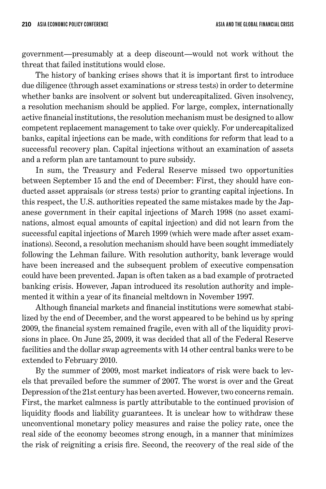government—presumably at a deep discount—would not work without the threat that failed institutions would close.

The history of banking crises shows that it is important first to introduce due diligence (through asset examinations or stress tests) in order to determine whether banks are insolvent or solvent but undercapitalized. Given insolvency, a resolution mechanism should be applied. For large, complex, internationally active financial institutions, the resolution mechanism must be designed to allow competent replacement management to take over quickly. For undercapitalized banks, capital injections can be made, with conditions for reform that lead to a successful recovery plan. Capital injections without an examination of assets and a reform plan are tantamount to pure subsidy.

In sum, the Treasury and Federal Reserve missed two opportunities between September 15 and the end of December: First, they should have conducted asset appraisals (or stress tests) prior to granting capital injections. In this respect, the U.S. authorities repeated the same mistakes made by the Japanese government in their capital injections of March 1998 (no asset examinations, almost equal amounts of capital injection) and did not learn from the successful capital injections of March 1999 (which were made after asset examinations). Second, a resolution mechanism should have been sought immediately following the Lehman failure. With resolution authority, bank leverage would have been increased and the subsequent problem of executive compensation could have been prevented. Japan is often taken as a bad example of protracted banking crisis. However, Japan introduced its resolution authority and implemented it within a year of its financial meltdown in November 1997.

Although financial markets and financial institutions were somewhat stabilized by the end of December, and the worst appeared to be behind us by spring 2009, the financial system remained fragile, even with all of the liquidity provisions in place. On June 25, 2009, it was decided that all of the Federal Reserve facilities and the dollar swap agreements with 14 other central banks were to be extended to February 2010.

By the summer of 2009, most market indicators of risk were back to levels that prevailed before the summer of 2007. The worst is over and the Great Depression of the 21st century has been averted. However, two concerns remain. First, the market calmness is partly attributable to the continued provision of liquidity floods and liability guarantees. It is unclear how to withdraw these unconventional monetary policy measures and raise the policy rate, once the real side of the economy becomes strong enough, in a manner that minimizes the risk of reigniting a crisis fire. Second, the recovery of the real side of the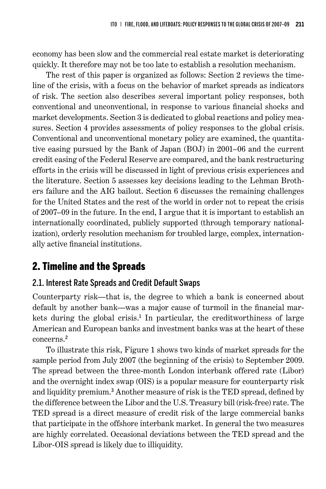economy has been slow and the commercial real estate market is deteriorating quickly. It therefore may not be too late to establish a resolution mechanism.

The rest of this paper is organized as follows: Section 2 reviews the timeline of the crisis, with a focus on the behavior of market spreads as indicators of risk. The section also describes several important policy responses, both conventional and unconventional, in response to various financial shocks and market developments. Section 3 is dedicated to global reactions and policy measures. Section 4 provides assessments of policy responses to the global crisis. Conventional and unconventional monetary policy are examined, the quantitative easing pursued by the Bank of Japan (BOJ) in 2001–06 and the current credit easing of the Federal Reserve are compared, and the bank restructuring efforts in the crisis will be discussed in light of previous crisis experiences and the literature. Section 5 assesses key decisions leading to the Lehman Brothers failure and the AIG bailout. Section 6 discusses the remaining challenges for the United States and the rest of the world in order not to repeat the crisis of 2007–09 in the future. In the end, I argue that it is important to establish an internationally coordinated, publicly supported (through temporary nationalization), orderly resolution mechanism for troubled large, complex, internationally active financial institutions.

# 2. Timeline and the Spreads

### 2.1. Interest Rate Spreads and Credit Default Swaps

Counterparty risk—that is, the degree to which a bank is concerned about default by another bank—was a major cause of turmoil in the financial markets during the global crisis. 1 In particular, the creditworthiness of large American and European banks and investment banks was at the heart of these concerns. 2

To illustrate this risk, Figure 1 shows two kinds of market spreads for the sample period from July 2007 (the beginning of the crisis) to September 2009. The spread between the three-month London interbank offered rate (Libor) and the overnight index swap (OIS) is a popular measure for counterparty risk and liquidity premium. 3 Another measure of risk is the TED spread, defined by the difference between the Libor and the U.S. Treasury bill (risk-free) rate. The TED spread is a direct measure of credit risk of the large commercial banks that participate in the offshore interbank market. In general the two measures are highly correlated. Occasional deviations between the TED spread and the Libor-OIS spread is likely due to illiquidity.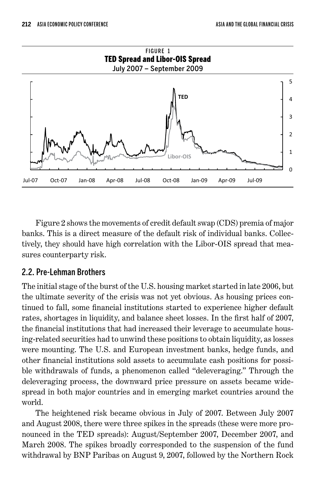

Figure 2 shows the movements of credit default swap (CDS) premia of major banks. This is a direct measure of the default risk of individual banks. Collectively, they should have high correlation with the Libor-OIS spread that measures counterparty risk.

#### 2.2. Pre-Lehman Brothers

The initial stage of the burst of the U.S. housing market started in late 2006, but the ultimate severity of the crisis was not yet obvious. As housing prices continued to fall, some financial institutions started to experience higher default rates, shortages in liquidity, and balance sheet losses. In the first half of 2007, the financial institutions that had increased their leverage to accumulate housing-related securities had to unwind these positions to obtain liquidity, as losses were mounting. The U.S. and European investment banks, hedge funds, and other financial institutions sold assets to accumulate cash positions for possible withdrawals of funds, a phenomenon called "deleveraging." Through the deleveraging process, the downward price pressure on assets became widespread in both major countries and in emerging market countries around the world.

The heightened risk became obvious in July of 2007. Between July 2007 and August 2008, there were three spikes in the spreads (these were more pronounced in the TED spreads): August/September 2007, December 2007, and March 2008. The spikes broadly corresponded to the suspension of the fund withdrawal by BNP Paribas on August 9, 2007, followed by the Northern Rock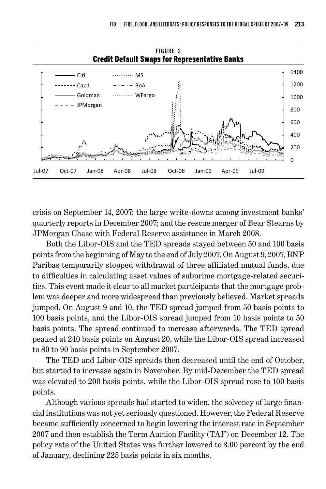

crisis on September 14, 2007; the large write-downs among investment banks' quarterly reports in December 2007; and the rescue merger of Bear Stearns by JPMorgan Chase with Federal Reserve assistance in March 2008.

Both the Libor-OIS and the TED spreads stayed between 50 and 100 basis points from the beginning of May to the end of July 2007. On August 9, 2007, BNP Paribas temporarily stopped withdrawal of three affiliated mutual funds, due to difficulties in calculating asset values of subprime mortgage-related securities. This event made it clear to all market participants that the mortgage problem was deeper and more widespread than previously believed. Market spreads jumped. On August 9 and 10, the TED spread jumped from 50 basis points to 100 basis points, and the Libor-OIS spread jumped from 10 basis points to 50 basis points. The spread continued to increase afterwards. The TED spread peaked at 240 basis points on August 20, while the Libor-OIS spread increased to 80 to 90 basis points in September 2007.

The TED and Libor-OIS spreads then decreased until the end of October, but started to increase again in November. By mid-December the TED spread was elevated to 200 basis points, while the Libor-OIS spread rose to 100 basis points.

Although various spreads had started to widen, the solvency of large financial institutions was not yet seriously questioned. However, the Federal Reserve became sufficiently concerned to begin lowering the interest rate in September 2007 and then establish the Term Auction Facility (TAF) on December 12. The policy rate of the United States was further lowered to 3.00 percent by the end of January, declining 225 basis points in six months.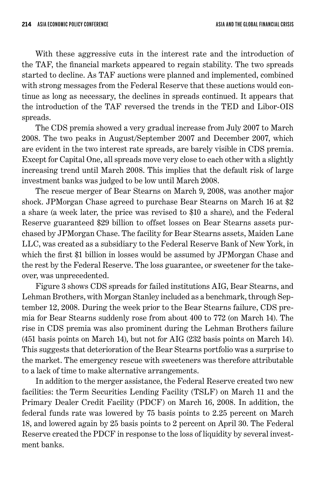With these aggressive cuts in the interest rate and the introduction of the TAF, the financial markets appeared to regain stability. The two spreads started to decline. As TAF auctions were planned and implemented, combined with strong messages from the Federal Reserve that these auctions would continue as long as necessary, the declines in spreads continued. It appears that the introduction of the TAF reversed the trends in the TED and Libor-OIS spreads.

The CDS premia showed a very gradual increase from July 2007 to March 2008. The two peaks in August/September 2007 and December 2007, which are evident in the two interest rate spreads, are barely visible in CDS premia. Except for Capital One, all spreads move very close to each other with a slightly increasing trend until March 2008. This implies that the default risk of large investment banks was judged to be low until March 2008.

The rescue merger of Bear Stearns on March 9, 2008, was another major shock. JPMorgan Chase agreed to purchase Bear Stearns on March 16 at \$2 a share (a week later, the price was revised to \$10 a share), and the Federal Reserve guaranteed \$29 billion to offset losses on Bear Stearns assets purchased by JPMorgan Chase. The facility for Bear Stearns assets, Maiden Lane LLC, was created as a subsidiary to the Federal Reserve Bank of New York, in which the first \$1 billion in losses would be assumed by JPMorgan Chase and the rest by the Federal Reserve. The loss guarantee, or sweetener for the takeover, was unprecedented.

Figure 3 shows CDS spreads for failed institutions AIG, Bear Stearns, and Lehman Brothers, with Morgan Stanley included as a benchmark, through September 12, 2008. During the week prior to the Bear Stearns failure, CDS premia for Bear Stearns suddenly rose from about 400 to 772 (on March 14). The rise in CDS premia was also prominent during the Lehman Brothers failure (451 basis points on March 14), but not for AIG (232 basis points on March 14). This suggests that deterioration of the Bear Stearns portfolio was a surprise to the market. The emergency rescue with sweeteners was therefore attributable to a lack of time to make alternative arrangements.

In addition to the merger assistance, the Federal Reserve created two new facilities: the Term Securities Lending Facility (TSLF) on March 11 and the Primary Dealer Credit Facility (PDCF) on March 16, 2008. In addition, the federal funds rate was lowered by 75 basis points to 2.25 percent on March 18, and lowered again by 25 basis points to 2 percent on April 30. The Federal Reserve created the PDCF in response to the loss of liquidity by several investment banks.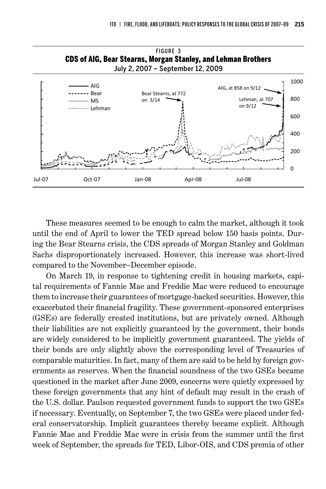

These measures seemed to be enough to calm the market, although it took until the end of April to lower the TED spread below 150 basis points. During the Bear Stearns crisis, the CDS spreads of Morgan Stanley and Goldman Sachs disproportionately increased. However, this increase was short-lived compared to the November–December episode.

On March 19, in response to tightening credit in housing markets, capital requirements of Fannie Mae and Freddie Mac were reduced to encourage them to increase their guarantees of mortgage-backed securities. However, this exacerbated their financial fragility. These government-sponsored enterprises (GSEs) are federally created institutions, but are privately owned. Although their liabilities are not explicitly guaranteed by the government, their bonds are widely considered to be implicitly government guaranteed. The yields of their bonds are only slightly above the corresponding level of Treasuries of comparable maturities. In fact, many of them are said to be held by foreign governments as reserves. When the financial soundness of the two GSEs became questioned in the market after June 2009, concerns were quietly expressed by these foreign governments that any hint of default may result in the crash of the U.S. dollar. Paulson requested government funds to support the two GSEs if necessary. Eventually, on September 7, the two GSEs were placed under federal conservatorship. Implicit guarantees thereby became explicit. Although Fannie Mae and Freddie Mac were in crisis from the summer until the first week of September, the spreads for TED, Libor-OIS, and CDS premia of other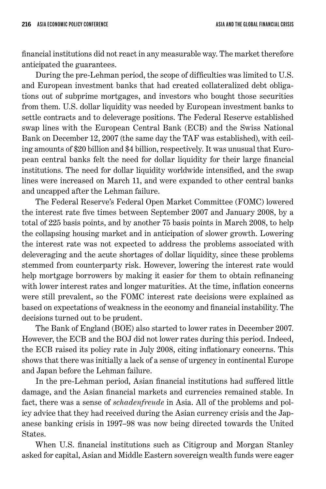financial institutions did not react in any measurable way. The market therefore anticipated the guarantees.

During the pre-Lehman period, the scope of difficulties was limited to U.S. and European investment banks that had created collateralized debt obligations out of subprime mortgages, and investors who bought those securities from them. U.S. dollar liquidity was needed by European investment banks to settle contracts and to deleverage positions. The Federal Reserve established swap lines with the European Central Bank (ECB) and the Swiss National Bank on December 12, 2007 (the same day the TAF was established), with ceiling amounts of \$20 billion and \$4 billion, respectively. It was unusual that European central banks felt the need for dollar liquidity for their large financial institutions. The need for dollar liquidity worldwide intensified, and the swap lines were increased on March 11, and were expanded to other central banks and uncapped after the Lehman failure.

The Federal Reserve's Federal Open Market Committee (FOMC) lowered the interest rate five times between September 2007 and January 2008, by a total of 225 basis points, and by another 75 basis points in March 2008, to help the collapsing housing market and in anticipation of slower growth. Lowering the interest rate was not expected to address the problems associated with deleveraging and the acute shortages of dollar liquidity, since these problems stemmed from counterparty risk. However, lowering the interest rate would help mortgage borrowers by making it easier for them to obtain refinancing with lower interest rates and longer maturities. At the time, inflation concerns were still prevalent, so the FOMC interest rate decisions were explained as based on expectations of weakness in the economy and financial instability. The decisions turned out to be prudent.

The Bank of England (BOE) also started to lower rates in December 2007. However, the ECB and the BOJ did not lower rates during this period. Indeed, the ECB raised its policy rate in July 2008, citing inflationary concerns. This shows that there was initially a lack of a sense of urgency in continental Europe and Japan before the Lehman failure.

In the pre-Lehman period, Asian financial institutions had suffered little damage, and the Asian financial markets and currencies remained stable. In fact, there was a sense of *schadenfreude* in Asia. All of the problems and policy advice that they had received during the Asian currency crisis and the Japanese banking crisis in 1997–98 was now being directed towards the United States.

When U.S. financial institutions such as Citigroup and Morgan Stanley asked for capital, Asian and Middle Eastern sovereign wealth funds were eager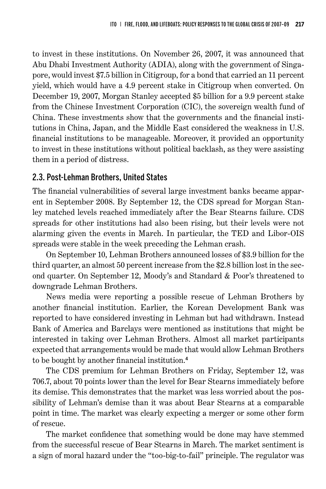to invest in these institutions. On November 26, 2007, it was announced that Abu Dhabi Investment Authority (ADIA), along with the government of Singapore, would invest \$7.5 billion in Citigroup, for a bond that carried an 11 percent yield, which would have a 4.9 percent stake in Citigroup when converted. On December 19, 2007, Morgan Stanley accepted \$5 billion for a 9.9 percent stake from the Chinese Investment Corporation (CIC), the sovereign wealth fund of China. These investments show that the governments and the financial institutions in China, Japan, and the Middle East considered the weakness in U.S. financial institutions to be manageable. Moreover, it provided an opportunity to invest in these institutions without political backlash, as they were assisting them in a period of distress.

### 2.3. Post-Lehman Brothers, United States

The financial vulnerabilities of several large investment banks became apparent in September 2008. By September 12, the CDS spread for Morgan Stanley matched levels reached immediately after the Bear Stearns failure. CDS spreads for other institutions had also been rising, but their levels were not alarming given the events in March. In particular, the TED and Libor-OIS spreads were stable in the week preceding the Lehman crash.

On September 10, Lehman Brothers announced losses of \$3.9 billion for the third quarter, an almost 50 percent increase from the \$2.8 billion lost in the second quarter. On September 12, Moody's and Standard & Poor's threatened to downgrade Lehman Brothers.

News media were reporting a possible rescue of Lehman Brothers by another financial institution. Earlier, the Korean Development Bank was reported to have considered investing in Lehman but had withdrawn. Instead Bank of America and Barclays were mentioned as institutions that might be interested in taking over Lehman Brothers. Almost all market participants expected that arrangements would be made that would allow Lehman Brothers to be bought by another financial institution. 4

The CDS premium for Lehman Brothers on Friday, September 12, was 706.7, about 70 points lower than the level for Bear Stearns immediately before its demise. This demonstrates that the market was less worried about the possibility of Lehman's demise than it was about Bear Stearns at a comparable point in time. The market was clearly expecting a merger or some other form of rescue.

The market confidence that something would be done may have stemmed from the successful rescue of Bear Stearns in March. The market sentiment is a sign of moral hazard under the "too-big-to-fail" principle. The regulator was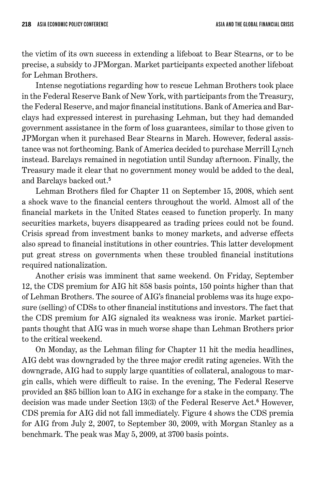the victim of its own success in extending a lifeboat to Bear Stearns, or to be precise, a subsidy to JPMorgan. Market participants expected another lifeboat for Lehman Brothers.

Intense negotiations regarding how to rescue Lehman Brothers took place in the Federal Reserve Bank of New York, with participants from the Treasury, the Federal Reserve, and major financial institutions. Bank of America and Barclays had expressed interest in purchasing Lehman, but they had demanded government assistance in the form of loss guarantees, similar to those given to JPMorgan when it purchased Bear Stearns in March. However, federal assistance was not forthcoming. Bank of America decided to purchase Merrill Lynch instead. Barclays remained in negotiation until Sunday afternoon. Finally, the Treasury made it clear that no government money would be added to the deal, and Barclays backed out. 5

Lehman Brothers filed for Chapter 11 on September 15, 2008, which sent a shock wave to the financial centers throughout the world. Almost all of the financial markets in the United States ceased to function properly. In many securities markets, buyers disappeared as trading prices could not be found. Crisis spread from investment banks to money markets, and adverse effects also spread to financial institutions in other countries. This latter development put great stress on governments when these troubled financial institutions required nationalization.

Another crisis was imminent that same weekend. On Friday, September 12, the CDS premium for AIG hit 858 basis points, 150 points higher than that of Lehman Brothers. The source of AIG's financial problems was its huge exposure (selling) of CDSs to other financial institutions and investors. The fact that the CDS premium for AIG signaled its weakness was ironic. Market participants thought that AIG was in much worse shape than Lehman Brothers prior to the critical weekend.

On Monday, as the Lehman filing for Chapter 11 hit the media headlines, AIG debt was downgraded by the three major credit rating agencies. With the downgrade, AIG had to supply large quantities of collateral, analogous to margin calls, which were difficult to raise. In the evening, The Federal Reserve provided an \$85 billion loan to AIG in exchange for a stake in the company. The decision was made under Section 13(3) of the Federal Reserve Act. 6 However, CDS premia for AIG did not fall immediately. Figure 4 shows the CDS premia for AIG from July 2, 2007, to September 30, 2009, with Morgan Stanley as a benchmark. The peak was May 5, 2009, at 3700 basis points.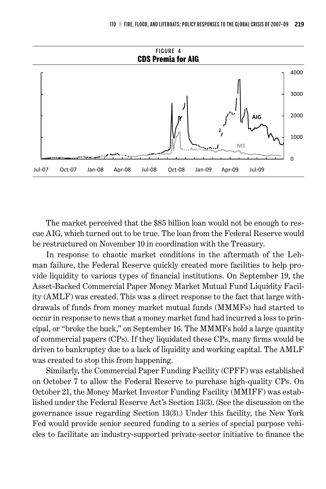

The market perceived that the \$85 billion loan would not be enough to rescue AIG, which turned out to be true. The loan from the Federal Reserve would be restructured on November 10 in coordination with the Treasury.

In response to chaotic market conditions in the aftermath of the Lehman failure, the Federal Reserve quickly created more facilities to help provide liquidity to various types of financial institutions. On September 19, the Asset-Backed Commercial Paper Money Market Mutual Fund Liquidity Facility (AMLF) was created. This was a direct response to the fact that large withdrawals of funds from money market mutual funds (MMMFs) had started to occur in response to news that a money market fund had incurred a loss to principal, or "broke the buck," on September 16. The MMMFs hold a large quantity of commercial papers (CPs). If they liquidated these CPs, many firms would be driven to bankruptcy due to a lack of liquidity and working capital. The AMLF was created to stop this from happening.

Similarly, the Commercial Paper Funding Facility (CPFF) was established on October 7 to allow the Federal Reserve to purchase high-quality CPs. On October 21, the Money Market Investor Funding Facility (MMIFF) was established under the Federal Reserve Act's Section 13(3). (See the discussion on the governance issue regarding Section 13(3).) Under this facility, the New York Fed would provide senior secured funding to a series of special purpose vehicles to facilitate an industry-supported private-sector initiative to finance the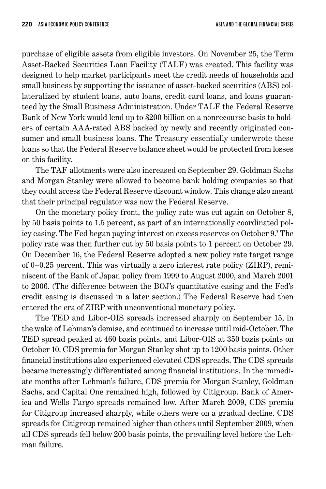purchase of eligible assets from eligible investors. On November 25, the Term Asset-Backed Securities Loan Facility (TALF) was created. This facility was designed to help market participants meet the credit needs of households and small business by supporting the issuance of asset-backed securities (ABS) collateralized by student loans, auto loans, credit card loans, and loans guaranteed by the Small Business Administration. Under TALF the Federal Reserve Bank of New York would lend up to \$200 billion on a nonrecourse basis to holders of certain AAA-rated ABS backed by newly and recently originated consumer and small business loans. The Treasury essentially underwrote these loans so that the Federal Reserve balance sheet would be protected from losses on this facility.

The TAF allotments were also increased on September 29. Goldman Sachs and Morgan Stanley were allowed to become bank holding companies so that they could access the Federal Reserve discount window. This change also meant that their principal regulator was now the Federal Reserve.

On the monetary policy front, the policy rate was cut again on October 8, by 50 basis points to 1.5 percent, as part of an internationally coordinated policy easing. The Fed began paying interest on excess reserves on October 9.' The policy rate was then further cut by 50 basis points to 1 percent on October 29. On December 16, the Federal Reserve adopted a new policy rate target range of 0–0.25 percent. This was virtually a zero interest rate policy (ZIRP), reminiscent of the Bank of Japan policy from 1999 to August 2000, and March 2001 to 2006. (The difference between the BOJ's quantitative easing and the Fed's credit easing is discussed in a later section.) The Federal Reserve had then entered the era of ZIRP with unconventional monetary policy.

The TED and Libor-OIS spreads increased sharply on September 15, in the wake of Lehman's demise, and continued to increase until mid-October. The TED spread peaked at 460 basis points, and Libor-OIS at 350 basis points on October 10. CDS premia for Morgan Stanley shot up to 1200 basis points. Other financial institutions also experienced elevated CDS spreads. The CDS spreads became increasingly differentiated among financial institutions. In the immediate months after Lehman's failure, CDS premia for Morgan Stanley, Goldman Sachs, and Capital One remained high, followed by Citigroup. Bank of America and Wells Fargo spreads remained low. After March 2009, CDS premia for Citigroup increased sharply, while others were on a gradual decline. CDS spreads for Citigroup remained higher than others until September 2009, when all CDS spreads fell below 200 basis points, the prevailing level before the Lehman failure.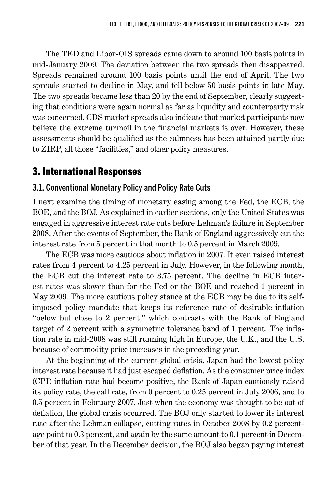The TED and Libor-OIS spreads came down to around 100 basis points in mid-January 2009. The deviation between the two spreads then disappeared. Spreads remained around 100 basis points until the end of April. The two spreads started to decline in May, and fell below 50 basis points in late May. The two spreads became less than 20 by the end of September, clearly suggesting that conditions were again normal as far as liquidity and counterparty risk was concerned. CDS market spreads also indicate that market participants now believe the extreme turmoil in the financial markets is over. However, these assessments should be qualified as the calmness has been attained partly due to ZIRP, all those "facilities," and other policy measures.

### 3. International Responses

### 3.1. Conventional Monetary Policy and Policy Rate Cuts

I next examine the timing of monetary easing among the Fed, the ECB, the BOE, and the BOJ. As explained in earlier sections, only the United States was engaged in aggressive interest rate cuts before Lehman's failure in September 2008. After the events of September, the Bank of England aggressively cut the interest rate from 5 percent in that month to 0.5 percent in March 2009.

The ECB was more cautious about inflation in 2007. It even raised interest rates from 4 percent to 4.25 percent in July. However, in the following month, the ECB cut the interest rate to 3.75 percent. The decline in ECB interest rates was slower than for the Fed or the BOE and reached 1 percent in May 2009. The more cautious policy stance at the ECB may be due to its selfimposed policy mandate that keeps its reference rate of desirable inflation "below but close to 2 percent," which contrasts with the Bank of England target of 2 percent with a symmetric tolerance band of 1 percent. The inflation rate in mid-2008 was still running high in Europe, the U.K., and the U.S. because of commodity price increases in the preceding year.

At the beginning of the current global crisis, Japan had the lowest policy interest rate because it had just escaped deflation. As the consumer price index (CPI) inflation rate had become positive, the Bank of Japan cautiously raised its policy rate, the call rate, from 0 percent to 0.25 percent in July 2006, and to 0.5 percent in February 2007. Just when the economy was thought to be out of deflation, the global crisis occurred. The BOJ only started to lower its interest rate after the Lehman collapse, cutting rates in October 2008 by 0.2 percentage point to 0.3 percent, and again by the same amount to 0.1 percent in December of that year. In the December decision, the BOJ also began paying interest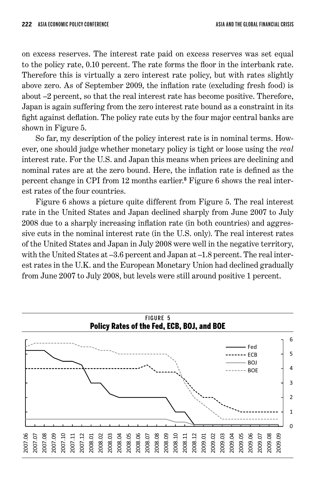on excess reserves. The interest rate paid on excess reserves was set equal to the policy rate, 0.10 percent. The rate forms the floor in the interbank rate. Therefore this is virtually a zero interest rate policy, but with rates slightly above zero. As of September 2009, the inflation rate (excluding fresh food) is about –2 percent, so that the real interest rate has become positive. Therefore, Japan is again suffering from the zero interest rate bound as a constraint in its fight against deflation. The policy rate cuts by the four major central banks are shown in Figure 5.

So far, my description of the policy interest rate is in nominal terms. However, one should judge whether monetary policy is tight or loose using the *real* interest rate. For the U.S. and Japan this means when prices are declining and nominal rates are at the zero bound. Here, the inflation rate is defined as the percent change in CPI from 12 months earlier. 8 Figure 6 shows the real interest rates of the four countries.

Figure 6 shows a picture quite different from Figure 5. The real interest rate in the United States and Japan declined sharply from June 2007 to July 2008 due to a sharply increasing inflation rate (in both countries) and aggressive cuts in the nominal interest rate (in the U.S. only). The real interest rates of the United States and Japan in July 2008 were well in the negative territory, with the United States at –3.6 percent and Japan at –1.8 percent. The real interest rates in the U.K. and the European Monetary Union had declined gradually from June 2007 to July 2008, but levels were still around positive 1 percent.

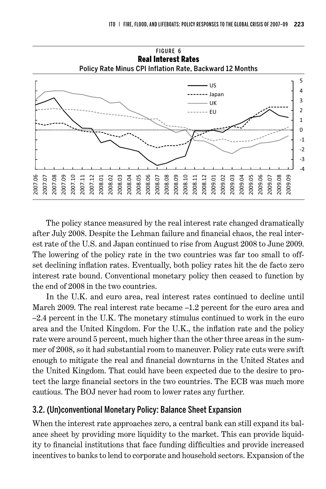

The policy stance measured by the real interest rate changed dramatically after July 2008. Despite the Lehman failure and financial chaos, the real interest rate of the U.S. and Japan continued to rise from August 2008 to June 2009. The lowering of the policy rate in the two countries was far too small to offset declining inflation rates. Eventually, both policy rates hit the de facto zero interest rate bound. Conventional monetary policy then ceased to function by the end of 2008 in the two countries.

In the U.K. and euro area, real interest rates continued to decline until March 2009. The real interest rate became –1.2 percent for the euro area and –2.4 percent in the U.K. The monetary stimulus continued to work in the euro area and the United Kingdom. For the U.K., the inflation rate and the policy rate were around 5 percent, much higher than the other three areas in the summer of 2008, so it had substantial room to maneuver. Policy rate cuts were swift enough to mitigate the real and financial downturns in the United States and the United Kingdom. That could have been expected due to the desire to protect the large financial sectors in the two countries. The ECB was much more cautious. The BOJ never had room to lower rates any further.

### 3.2. (Un)conventional Monetary Policy: Balance Sheet Expansion

When the interest rate approaches zero, a central bank can still expand its balance sheet by providing more liquidity to the market. This can provide liquidity to financial institutions that face funding difficulties and provide increased incentives to banks to lend to corporate and household sectors. Expansion of the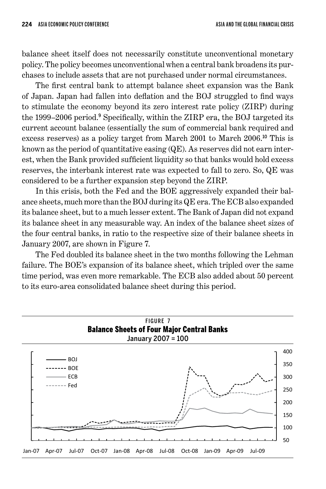balance sheet itself does not necessarily constitute unconventional monetary policy. The policy becomes unconventional when a central bank broadens its purchases to include assets that are not purchased under normal circumstances.

The first central bank to attempt balance sheet expansion was the Bank of Japan. Japan had fallen into deflation and the BOJ struggled to find ways to stimulate the economy beyond its zero interest rate policy (ZIRP) during the 1999–2006 period.<sup>9</sup> Specifically, within the ZIRP era, the BOJ targeted its current account balance (essentially the sum of commercial bank required and excess reserves) as a policy target from March 2001 to March 2006. <sup>10</sup> This is known as the period of quantitative easing (QE). As reserves did not earn interest, when the Bank provided sufficient liquidity so that banks would hold excess reserves, the interbank interest rate was expected to fall to zero. So, QE was considered to be a further expansion step beyond the ZIRP.

In this crisis, both the Fed and the BOE aggressively expanded their balance sheets, much more than the BOJ during its QE era. The ECB also expanded its balance sheet, but to a much lesser extent. The Bank of Japan did not expand its balance sheet in any measurable way. An index of the balance sheet sizes of the four central banks, in ratio to the respective size of their balance sheets in January 2007, are shown in Figure 7.

The Fed doubled its balance sheet in the two months following the Lehman failure. The BOE's expansion of its balance sheet, which tripled over the same time period, was even more remarkable. The ECB also added about 50 percent to its euro-area consolidated balance sheet during this period.

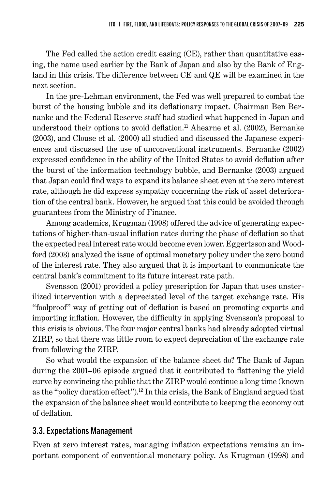The Fed called the action credit easing (CE), rather than quantitative easing, the name used earlier by the Bank of Japan and also by the Bank of England in this crisis. The difference between CE and QE will be examined in the next section.

In the pre-Lehman environment, the Fed was well prepared to combat the burst of the housing bubble and its deflationary impact. Chairman Ben Bernanke and the Federal Reserve staff had studied what happened in Japan and understood their options to avoid deflation. <sup>11</sup> Ahearne et al. (2002), Bernanke (2003), and Clouse et al. (2000) all studied and discussed the Japanese experiences and discussed the use of unconventional instruments. Bernanke (2002) expressed confidence in the ability of the United States to avoid deflation after the burst of the information technology bubble, and Bernanke (2003) argued that Japan could find ways to expand its balance sheet even at the zero interest rate, although he did express sympathy concerning the risk of asset deterioration of the central bank. However, he argued that this could be avoided through guarantees from the Ministry of Finance.

Among academics, Krugman (1998) offered the advice of generating expectations of higher-than-usual inflation rates during the phase of deflation so that the expected real interest rate would become even lower. Eggertsson and Woodford (2003) analyzed the issue of optimal monetary policy under the zero bound of the interest rate. They also argued that it is important to communicate the central bank's commitment to its future interest rate path.

Svensson (2001) provided a policy prescription for Japan that uses unsterilized intervention with a depreciated level of the target exchange rate. His "foolproof" way of getting out of deflation is based on promoting exports and importing inflation. However, the difficulty in applying Svensson's proposal to this crisis is obvious. The four major central banks had already adopted virtual ZIRP, so that there was little room to expect depreciation of the exchange rate from following the ZIRP.

So what would the expansion of the balance sheet do? The Bank of Japan during the 2001–06 episode argued that it contributed to flattening the yield curve by convincing the public that the ZIRP would continue a long time (known as the "policy duration effect"). <sup>12</sup> In this crisis, the Bank of England argued that the expansion of the balance sheet would contribute to keeping the economy out of deflation.

### 3.3. Expectations Management

Even at zero interest rates, managing inflation expectations remains an important component of conventional monetary policy. As Krugman (1998) and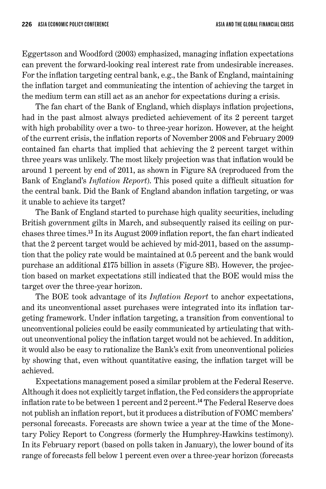Eggertsson and Woodford (2003) emphasized, managing inflation expectations can prevent the forward-looking real interest rate from undesirable increases. For the inflation targeting central bank, e.g., the Bank of England, maintaining the inflation target and communicating the intention of achieving the target in the medium term can still act as an anchor for expectations during a crisis.

The fan chart of the Bank of England, which displays inflation projections, had in the past almost always predicted achievement of its 2 percent target with high probability over a two- to three-year horizon. However, at the height of the current crisis, the inflation reports of November 2008 and February 2009 contained fan charts that implied that achieving the 2 percent target within three years was unlikely. The most likely projection was that inflation would be around 1 percent by end of 2011, as shown in Figure 8A (reproduced from the Bank of England's *Inflation Report*). This posed quite a difficult situation for the central bank. Did the Bank of England abandon inflation targeting, or was it unable to achieve its target?

The Bank of England started to purchase high quality securities, including British government gilts in March, and subsequently raised its ceiling on purchases three times. <sup>13</sup> In its August 2009 inflation report, the fan chart indicated that the 2 percent target would be achieved by mid-2011, based on the assumption that the policy rate would be maintained at 0.5 percent and the bank would purchase an additional £175 billion in assets (Figure 8B). However, the projection based on market expectations still indicated that the BOE would miss the target over the three-year horizon.

The BOE took advantage of its *Inflation Report* to anchor expectations, and its unconventional asset purchases were integrated into its inflation targeting framework. Under inflation targeting, a transition from conventional to unconventional policies could be easily communicated by articulating that without unconventional policy the inflation target would not be achieved. In addition, it would also be easy to rationalize the Bank's exit from unconventional policies by showing that, even without quantitative easing, the inflation target will be achieved.

Expectations management posed a similar problem at the Federal Reserve. Although it does not explicitly target inflation, the Fed considers the appropriate inflation rate to be between 1 percent and 2 percent. <sup>14</sup> The Federal Reserve does not publish an inflation report, but it produces a distribution of FOMC members' personal forecasts. Forecasts are shown twice a year at the time of the Monetary Policy Report to Congress (formerly the Humphrey-Hawkins testimony). In its February report (based on polls taken in January), the lower bound of its range of forecasts fell below 1 percent even over a three-year horizon (forecasts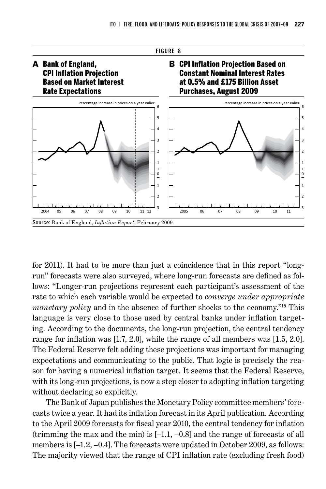

for 2011). It had to be more than just a coincidence that in this report "longrun" forecasts were also surveyed, where long-run forecasts are defined as follows: "Longer-run projections represent each participant's assessment of the rate to which each variable would be expected to *converge under appropriate monetary policy* and in the absence of further shocks to the economy."<sup>15</sup> This language is very close to those used by central banks under inflation targeting. According to the documents, the long-run projection, the central tendency range for inflation was [1.7, 2.0], while the range of all members was [1.5, 2.0]. The Federal Reserve felt adding these projections was important for managing expectations and communicating to the public. That logic is precisely the reason for having a numerical inflation target. It seems that the Federal Reserve, with its long-run projections, is now a step closer to adopting inflation targeting without declaring so explicitly.

The Bank of Japan publishes the Monetary Policy committee members' forecasts twice a year. It had its inflation forecast in its April publication. According to the April 2009 forecasts for fiscal year 2010, the central tendency for inflation (trimming the max and the min) is [–1.1, –0.8] and the range of forecasts of all members is [–1.2, –0.4]. The forecasts were updated in October 2009, as follows: The majority viewed that the range of CPI inflation rate (excluding fresh food)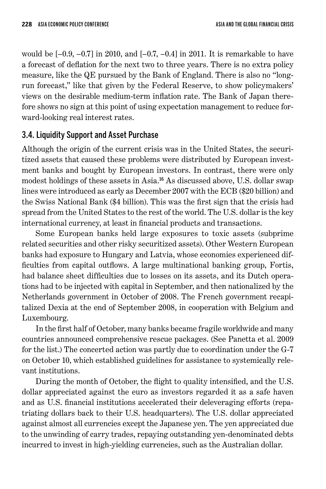would be  $[-0.9, -0.7]$  in 2010, and  $[-0.7, -0.4]$  in 2011. It is remarkable to have a forecast of deflation for the next two to three years. There is no extra policy measure, like the QE pursued by the Bank of England. There is also no "longrun forecast," like that given by the Federal Reserve, to show policymakers' views on the desirable medium-term inflation rate. The Bank of Japan therefore shows no sign at this point of using expectation management to reduce forward-looking real interest rates.

### 3.4. Liquidity Support and Asset Purchase

Although the origin of the current crisis was in the United States, the securitized assets that caused these problems were distributed by European investment banks and bought by European investors. In contrast, there were only modest holdings of these assets in Asia. <sup>16</sup> As discussed above, U.S. dollar swap lines were introduced as early as December 2007 with the ECB (\$20 billion) and the Swiss National Bank (\$4 billion). This was the first sign that the crisis had spread from the United States to the rest of the world. The U.S. dollar is the key international currency, at least in financial products and transactions.

Some European banks held large exposures to toxic assets (subprime related securities and other risky securitized assets). Other Western European banks had exposure to Hungary and Latvia, whose economies experienced difficulties from capital outflows. A large multinational banking group, Fortis, had balance sheet difficulties due to losses on its assets, and its Dutch operations had to be injected with capital in September, and then nationalized by the Netherlands government in October of 2008. The French government recapitalized Dexia at the end of September 2008, in cooperation with Belgium and Luxembourg.

In the first half of October, many banks became fragile worldwide and many countries announced comprehensive rescue packages. (See Panetta et al. 2009 for the list.) The concerted action was partly due to coordination under the G-7 on October 10, which established guidelines for assistance to systemically relevant institutions.

During the month of October, the flight to quality intensified, and the U.S. dollar appreciated against the euro as investors regarded it as a safe haven and as U.S. financial institutions accelerated their deleveraging efforts (repatriating dollars back to their U.S. headquarters). The U.S. dollar appreciated against almost all currencies except the Japanese yen. The yen appreciated due to the unwinding of carry trades, repaying outstanding yen-denominated debts incurred to invest in high-yielding currencies, such as the Australian dollar.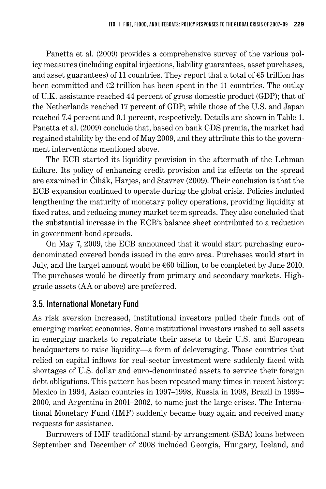Panetta et al. (2009) provides a comprehensive survey of the various policy measures (including capital injections, liability guarantees, asset purchases, and asset guarantees) of 11 countries. They report that a total of  $\epsilon$ 5 trillion has been committed and  $\epsilon_2$  trillion has been spent in the 11 countries. The outlay of U.K. assistance reached 44 percent of gross domestic product (GDP); that of the Netherlands reached 17 percent of GDP; while those of the U.S. and Japan reached 7.4 percent and 0.1 percent, respectively. Details are shown in Table 1. Panetta et al. (2009) conclude that, based on bank CDS premia, the market had regained stability by the end of May 2009, and they attribute this to the government interventions mentioned above.

The ECB started its liquidity provision in the aftermath of the Lehman failure. Its policy of enhancing credit provision and its effects on the spread are examined in Čihák, Harjes, and Stavrev (2009). Their conclusion is that the ECB expansion continued to operate during the global crisis. Policies included lengthening the maturity of monetary policy operations, providing liquidity at fixed rates, and reducing money market term spreads. They also concluded that the substantial increase in the ECB's balance sheet contributed to a reduction in government bond spreads.

On May 7, 2009, the ECB announced that it would start purchasing eurodenominated covered bonds issued in the euro area. Purchases would start in July, and the target amount would be  $\epsilon$ 60 billion, to be completed by June 2010. The purchases would be directly from primary and secondary markets. Highgrade assets (AA or above) are preferred.

### 3.5. International Monetary Fund

As risk aversion increased, institutional investors pulled their funds out of emerging market economies. Some institutional investors rushed to sell assets in emerging markets to repatriate their assets to their U.S. and European headquarters to raise liquidity—a form of deleveraging. Those countries that relied on capital inflows for real-sector investment were suddenly faced with shortages of U.S. dollar and euro-denominated assets to service their foreign debt obligations. This pattern has been repeated many times in recent history: Mexico in 1994, Asian countries in 1997–1998, Russia in 1998, Brazil in 1999– 2000, and Argentina in 2001–2002, to name just the large crises. The International Monetary Fund (IMF) suddenly became busy again and received many requests for assistance.

Borrowers of IMF traditional stand-by arrangement (SBA) loans between September and December of 2008 included Georgia, Hungary, Iceland, and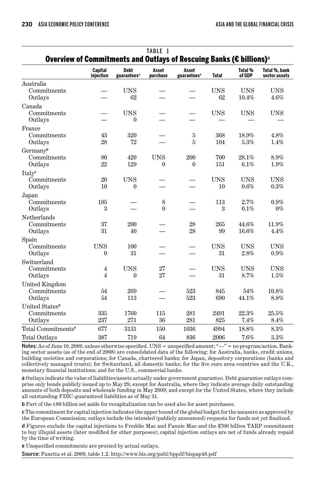| TABLE 1<br>Overview of Commitments and Outlays of Rescuing Banks (€ billions) <sup>a</sup> |                             |                                        |                          |                                  |                         |                     |                                |
|--------------------------------------------------------------------------------------------|-----------------------------|----------------------------------------|--------------------------|----------------------------------|-------------------------|---------------------|--------------------------------|
|                                                                                            | <b>Capital</b><br>injection | <b>Debt</b><br>guarantees <sup>a</sup> | Asset<br>purchase        | Asset<br>guarantees <sup>a</sup> | <b>Total</b>            | Total %<br>of GDP   | Total %, bank<br>sector assets |
| Australia<br>Commitments<br>Outlays                                                        |                             | <b>UNS</b><br>62                       |                          |                                  | <b>UNS</b><br>62        | <b>UNS</b><br>10.4% | <b>UNS</b><br>4.6%             |
| Canada<br>Commitments<br>Outlays                                                           |                             | <b>UNS</b><br>$\theta$                 |                          |                                  | <b>UNS</b>              | <b>UNS</b>          | <b>UNS</b>                     |
| France<br>Commitments<br>Outlays                                                           | 43<br>28                    | 320<br>72                              |                          | 5<br>5                           | 368<br>104              | 18.9%<br>5.3%       | 4.8%<br>1.4%                   |
| Germanyb<br>Commitments<br>Outlays                                                         | 80<br>22                    | 420<br>129                             | <b>UNS</b><br>0          | 200<br>$\mathbf{0}$              | 700<br>151              | 28.1%<br>6.1%       | 8.9%<br>1.9%                   |
| Italy <sup>c</sup><br>Commitments<br>Outlays                                               | 20<br>10                    | <b>UNS</b><br>$\theta$                 |                          |                                  | <b>UNS</b><br>10        | <b>UNS</b><br>0.6%  | <b>UNS</b><br>0.3%             |
| Japan<br>Commitments<br>Outlays                                                            | 105<br>$\boldsymbol{3}$     |                                        | 8<br>$\theta$            |                                  | 113<br>$\boldsymbol{3}$ | 2.7%<br>0.1%        | 0.9%<br>$0\%$                  |
| Netherlands<br>Commitments<br>Outlays                                                      | 37<br>31                    | 200<br>40                              |                          | 28<br>28                         | 265<br>99               | 44.6%<br>16.6%      | 11.9%<br>4.4%                  |
| Spain<br>Commitments<br>Outlays                                                            | <b>UNS</b><br>0             | 100<br>31                              |                          |                                  | <b>UNS</b><br>31        | <b>UNS</b><br>2.8%  | <b>UNS</b><br>0.9%             |
| Switzerland<br>Commitments<br>Outlays                                                      | 4<br>$\overline{4}$         | <b>UNS</b><br>$\boldsymbol{0}$         | 27<br>27                 |                                  | <b>UNS</b><br>31        | <b>UNS</b><br>8.7%  | <b>UNS</b><br>1.5%             |
| <b>United Kingdom</b><br>Commitments<br>Outlays                                            | 54<br>54                    | 269<br>113                             | $\overline{\phantom{0}}$ | 523<br>523                       | 845<br>690              | 54%<br>44.1%        | 10.8%<br>8.8%                  |
| United States <sup>d</sup><br>Commitments<br>Outlays                                       | 335<br>237                  | 1760<br>271                            | 115<br>36                | 281<br>281                       | 2491<br>825             | 22.3%<br>7.4%       | 25.5%<br>8.4%                  |
| Total Commitments <sup>e</sup>                                                             | 677                         | 3131                                   | 150                      | 1036                             | 4994                    | 18.8%               | 8.3%                           |
| <b>Total Outlays</b>                                                                       | 387                         | 719                                    | 64                       | 836                              | 2006                    | 7.6%                | 3.3%                           |

Notes: As of June 10, 2009, unless otherwise specified. UNS = unspecified amount; " $-$ " = no program/action. Banking sector assets (as of the end of 2008) are consolidated data of the following: for Australia, banks, credit unions, building societies and corporations; for Canada, chartered banks; for Japan, depository corporations (banks and collectively managed trusts); for Switzerland, all domestic banks; for the five euro area countries and the U.K., monetary financial institutions; and for the U.S., commercial banks.

a Outlays indicate the value of liabilities/assets actually under government guarantee. Debt guarantee outlays comprise only bonds publicly issued up to May 29, except for Australia, where they indicate average daily outstanding amounts of both deposits and wholesale funding in May 2009; and except for the United States, where they include all outstanding FDIC-guaranteed liabilities as of May 31.

**b** Part of the  $\epsilon$ 80 billion set aside for recapitalization can be used also for asset purchases.

c The commitment for capital injection indicates the upper bound of the global budget for the measure as approved by the European Commission; outlays include the intended (publicly announced) requests for funds not yet finalized.

d Figures exclude the capital injections to Freddie Mac and Fannie Mae and the \$700 billion TARP commitment to buy illiquid assets (later modified for other purposes); capital injection outlays are net of funds already repaid by the time of writing.

e Unspecified commitments are proxied by actual outlays.

Source: Panetta et al. 2009, table 1.2. http://www.bis.org/publ/bppdf/bispap48.pdf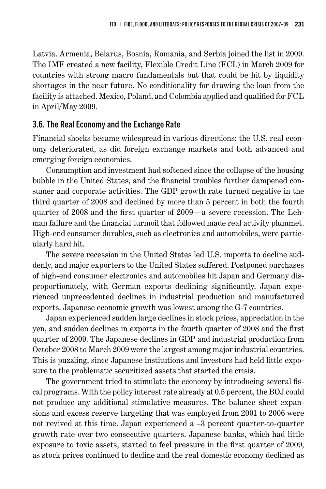Latvia. Armenia, Belarus, Bosnia, Romania, and Serbia joined the list in 2009. The IMF created a new facility, Flexible Credit Line (FCL) in March 2009 for countries with strong macro fundamentals but that could be hit by liquidity shortages in the near future. No conditionality for drawing the loan from the facility is attached. Mexico, Poland, and Colombia applied and qualified for FCL in April/May 2009.

#### 3.6. The Real Economy and the Exchange Rate

Financial shocks became widespread in various directions: the U.S. real economy deteriorated, as did foreign exchange markets and both advanced and emerging foreign economies.

Consumption and investment had softened since the collapse of the housing bubble in the United States, and the financial troubles further dampened consumer and corporate activities. The GDP growth rate turned negative in the third quarter of 2008 and declined by more than 5 percent in both the fourth quarter of 2008 and the first quarter of 2009—a severe recession. The Lehman failure and the financial turmoil that followed made real activity plummet. High-end consumer durables, such as electronics and automobiles, were particularly hard hit.

The severe recession in the United States led U.S. imports to decline suddenly, and major exporters to the United States suffered. Postponed purchases of high-end consumer electronics and automobiles hit Japan and Germany disproportionately, with German exports declining significantly. Japan experienced unprecedented declines in industrial production and manufactured exports. Japanese economic growth was lowest among the G-7 countries.

Japan experienced sudden large declines in stock prices, appreciation in the yen, and sudden declines in exports in the fourth quarter of 2008 and the first quarter of 2009. The Japanese declines in GDP and industrial production from October 2008 to March 2009 were the largest among major industrial countries. This is puzzling, since Japanese institutions and investors had held little exposure to the problematic securitized assets that started the crisis.

The government tried to stimulate the economy by introducing several fiscal programs. With the policy interest rate already at 0.5 percent, the BOJ could not produce any additional stimulative measures. The balance sheet expansions and excess reserve targeting that was employed from 2001 to 2006 were not revived at this time. Japan experienced a –3 percent quarter-to-quarter growth rate over two consecutive quarters. Japanese banks, which had little exposure to toxic assets, started to feel pressure in the first quarter of 2009, as stock prices continued to decline and the real domestic economy declined as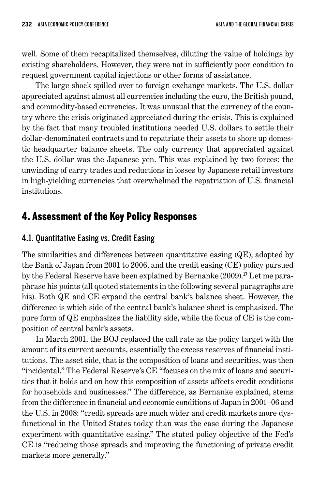well. Some of them recapitalized themselves, diluting the value of holdings by existing shareholders. However, they were not in sufficiently poor condition to request government capital injections or other forms of assistance.

The large shock spilled over to foreign exchange markets. The U.S. dollar appreciated against almost all currencies including the euro, the British pound, and commodity-based currencies. It was unusual that the currency of the country where the crisis originated appreciated during the crisis. This is explained by the fact that many troubled institutions needed U.S. dollars to settle their dollar-denominated contracts and to repatriate their assets to shore up domestic headquarter balance sheets. The only currency that appreciated against the U.S. dollar was the Japanese yen. This was explained by two forces: the unwinding of carry trades and reductions in losses by Japanese retail investors in high-yielding currencies that overwhelmed the repatriation of U.S. financial institutions.

# 4. Assessment of the Key Policy Responses

### 4.1. Quantitative Easing vs. Credit Easing

The similarities and differences between quantitative easing (QE), adopted by the Bank of Japan from 2001 to 2006, and the credit easing (CE) policy pursued by the Federal Reserve have been explained by Bernanke (2009). 17 Let me paraphrase his points (all quoted statements in the following several paragraphs are his). Both QE and CE expand the central bank's balance sheet. However, the difference is which side of the central bank's balance sheet is emphasized. The pure form of QE emphasizes the liability side, while the focus of CE is the composition of central bank's assets.

In March 2001, the BOJ replaced the call rate as the policy target with the amount of its current accounts, essentially the excess reserves of financial institutions. The asset side, that is the composition of loans and securities, was then "incidental." The Federal Reserve's CE "focuses on the mix of loans and securities that it holds and on how this composition of assets affects credit conditions for households and businesses." The difference, as Bernanke explained, stems from the difference in financial and economic conditions of Japan in 2001–06 and the U.S. in 2008: "credit spreads are much wider and credit markets more dysfunctional in the United States today than was the case during the Japanese experiment with quantitative easing." The stated policy objective of the Fed's CE is "reducing those spreads and improving the functioning of private credit markets more generally."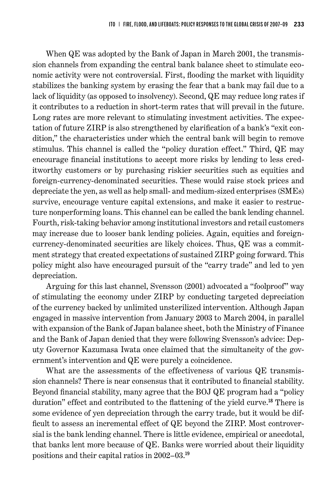When QE was adopted by the Bank of Japan in March 2001, the transmission channels from expanding the central bank balance sheet to stimulate economic activity were not controversial. First, flooding the market with liquidity stabilizes the banking system by erasing the fear that a bank may fail due to a lack of liquidity (as opposed to insolvency). Second, QE may reduce long rates if it contributes to a reduction in short-term rates that will prevail in the future. Long rates are more relevant to stimulating investment activities. The expectation of future ZIRP is also strengthened by clarification of a bank's "exit condition," the characteristics under which the central bank will begin to remove stimulus. This channel is called the "policy duration effect." Third, QE may encourage financial institutions to accept more risks by lending to less creditworthy customers or by purchasing riskier securities such as equities and foreign-currency-denominated securities. These would raise stock prices and depreciate the yen, as well as help small- and medium-sized enterprises (SMEs) survive, encourage venture capital extensions, and make it easier to restructure nonperforming loans. This channel can be called the bank lending channel. Fourth, risk-taking behavior among institutional investors and retail customers may increase due to looser bank lending policies. Again, equities and foreigncurrency-denominated securities are likely choices. Thus, QE was a commitment strategy that created expectations of sustained ZIRP going forward. This policy might also have encouraged pursuit of the "carry trade" and led to yen depreciation.

Arguing for this last channel, Svensson (2001) advocated a "foolproof" way of stimulating the economy under ZIRP by conducting targeted depreciation of the currency backed by unlimited unsterilized intervention. Although Japan engaged in massive intervention from January 2003 to March 2004, in parallel with expansion of the Bank of Japan balance sheet, both the Ministry of Finance and the Bank of Japan denied that they were following Svensson's advice: Deputy Governor Kazumasa Iwata once claimed that the simultaneity of the government's intervention and QE were purely a coincidence.

What are the assessments of the effectiveness of various QE transmission channels? There is near consensus that it contributed to financial stability. Beyond financial stability, many agree that the BOJ QE program had a "policy duration" effect and contributed to the flattening of the yield curve. <sup>18</sup> There is some evidence of yen depreciation through the carry trade, but it would be difficult to assess an incremental effect of QE beyond the ZIRP. Most controversial is the bank lending channel. There is little evidence, empirical or anecdotal, that banks lent more because of QE. Banks were worried about their liquidity positions and their capital ratios in 2002–03. 19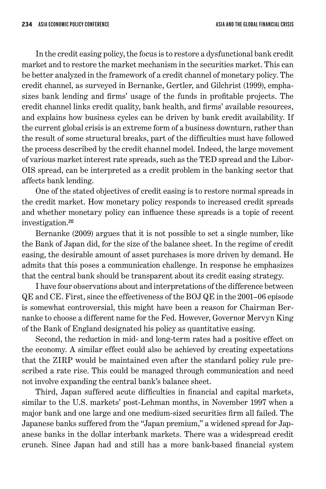In the credit easing policy, the focus is to restore a dysfunctional bank credit market and to restore the market mechanism in the securities market. This can be better analyzed in the framework of a credit channel of monetary policy. The credit channel, as surveyed in Bernanke, Gertler, and Gilchrist (1999), emphasizes bank lending and firms' usage of the funds in profitable projects. The credit channel links credit quality, bank health, and firms' available resources, and explains how business cycles can be driven by bank credit availability. If the current global crisis is an extreme form of a business downturn, rather than the result of some structural breaks, part of the difficulties must have followed the process described by the credit channel model. Indeed, the large movement of various market interest rate spreads, such as the TED spread and the Libor-OIS spread, can be interpreted as a credit problem in the banking sector that affects bank lending.

One of the stated objectives of credit easing is to restore normal spreads in the credit market. How monetary policy responds to increased credit spreads and whether monetary policy can influence these spreads is a topic of recent investigation. 20

Bernanke (2009) argues that it is not possible to set a single number, like the Bank of Japan did, for the size of the balance sheet. In the regime of credit easing, the desirable amount of asset purchases is more driven by demand. He admits that this poses a communication challenge. In response he emphasizes that the central bank should be transparent about its credit easing strategy.

I have four observations about and interpretations of the difference between QE and CE. First, since the effectiveness of the BOJ QE in the 2001–06 episode is somewhat controversial, this might have been a reason for Chairman Bernanke to choose a different name for the Fed. However, Governor Mervyn King of the Bank of England designated his policy as quantitative easing.

Second, the reduction in mid- and long-term rates had a positive effect on the economy. A similar effect could also be achieved by creating expectations that the ZIRP would be maintained even after the standard policy rule prescribed a rate rise. This could be managed through communication and need not involve expanding the central bank's balance sheet.

Third, Japan suffered acute difficulties in financial and capital markets, similar to the U.S. markets' post-Lehman months, in November 1997 when a major bank and one large and one medium-sized securities firm all failed. The Japanese banks suffered from the "Japan premium," a widened spread for Japanese banks in the dollar interbank markets. There was a widespread credit crunch. Since Japan had and still has a more bank-based financial system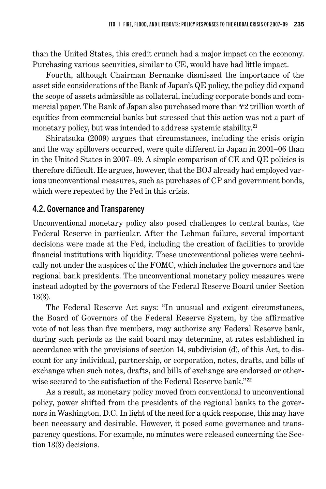than the United States, this credit crunch had a major impact on the economy. Purchasing various securities, similar to CE, would have had little impact.

Fourth, although Chairman Bernanke dismissed the importance of the asset side considerations of the Bank of Japan's QE policy, the policy did expand the scope of assets admissible as collateral, including corporate bonds and commercial paper. The Bank of Japan also purchased more than ¥2 trillion worth of equities from commercial banks but stressed that this action was not a part of monetary policy, but was intended to address systemic stability.<sup>21</sup>

Shiratsuka (2009) argues that circumstances, including the crisis origin and the way spillovers occurred, were quite different in Japan in 2001–06 than in the United States in 2007–09. A simple comparison of CE and QE policies is therefore difficult. He argues, however, that the BOJ already had employed various unconventional measures, such as purchases of CP and government bonds, which were repeated by the Fed in this crisis.

#### 4.2. Governance and Transparency

Unconventional monetary policy also posed challenges to central banks, the Federal Reserve in particular. After the Lehman failure, several important decisions were made at the Fed, including the creation of facilities to provide financial institutions with liquidity. These unconventional policies were technically not under the auspices of the FOMC, which includes the governors and the regional bank presidents. The unconventional monetary policy measures were instead adopted by the governors of the Federal Reserve Board under Section 13(3).

The Federal Reserve Act says: "In unusual and exigent circumstances, the Board of Governors of the Federal Reserve System, by the affirmative vote of not less than five members, may authorize any Federal Reserve bank, during such periods as the said board may determine, at rates established in accordance with the provisions of section 14, subdivision (d), of this Act, to discount for any individual, partnership, or corporation, notes, drafts, and bills of exchange when such notes, drafts, and bills of exchange are endorsed or otherwise secured to the satisfaction of the Federal Reserve bank."<sup>22</sup>

As a result, as monetary policy moved from conventional to unconventional policy, power shifted from the presidents of the regional banks to the governors in Washington, D.C. In light of the need for a quick response, this may have been necessary and desirable. However, it posed some governance and transparency questions. For example, no minutes were released concerning the Section 13(3) decisions.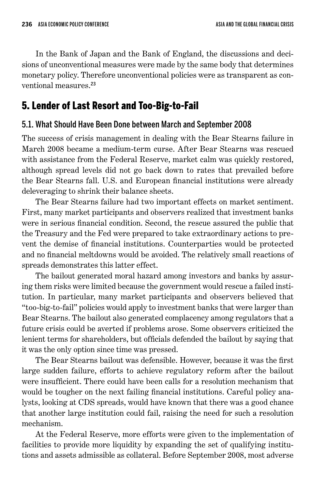In the Bank of Japan and the Bank of England, the discussions and decisions of unconventional measures were made by the same body that determines monetary policy. Therefore unconventional policies were as transparent as conventional measures. 23

# 5. Lender of Last Resort and Too-Big-to-Fail

### 5.1. What Should Have Been Done between March and September 2008

The success of crisis management in dealing with the Bear Stearns failure in March 2008 became a medium-term curse. After Bear Stearns was rescued with assistance from the Federal Reserve, market calm was quickly restored, although spread levels did not go back down to rates that prevailed before the Bear Stearns fall. U.S. and European financial institutions were already deleveraging to shrink their balance sheets.

The Bear Stearns failure had two important effects on market sentiment. First, many market participants and observers realized that investment banks were in serious financial condition. Second, the rescue assured the public that the Treasury and the Fed were prepared to take extraordinary actions to prevent the demise of financial institutions. Counterparties would be protected and no financial meltdowns would be avoided. The relatively small reactions of spreads demonstrates this latter effect.

The bailout generated moral hazard among investors and banks by assuring them risks were limited because the government would rescue a failed institution. In particular, many market participants and observers believed that "too-big-to-fail" policies would apply to investment banks that were larger than Bear Stearns. The bailout also generated complacency among regulators that a future crisis could be averted if problems arose. Some observers criticized the lenient terms for shareholders, but officials defended the bailout by saying that it was the only option since time was pressed.

The Bear Stearns bailout was defensible. However, because it was the first large sudden failure, efforts to achieve regulatory reform after the bailout were insufficient. There could have been calls for a resolution mechanism that would be tougher on the next failing financial institutions. Careful policy analysts, looking at CDS spreads, would have known that there was a good chance that another large institution could fail, raising the need for such a resolution mechanism.

At the Federal Reserve, more efforts were given to the implementation of facilities to provide more liquidity by expanding the set of qualifying institutions and assets admissible as collateral. Before September 2008, most adverse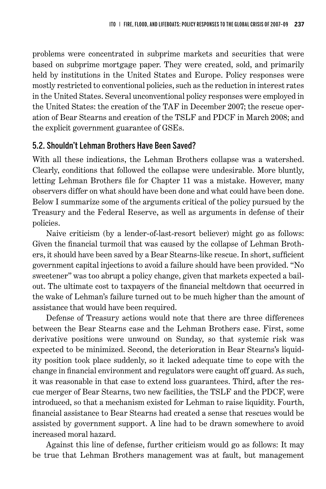problems were concentrated in subprime markets and securities that were based on subprime mortgage paper. They were created, sold, and primarily held by institutions in the United States and Europe. Policy responses were mostly restricted to conventional policies, such as the reduction in interest rates in the United States. Several unconventional policy responses were employed in the United States: the creation of the TAF in December 2007; the rescue operation of Bear Stearns and creation of the TSLF and PDCF in March 2008; and the explicit government guarantee of GSEs.

### 5.2. Shouldn't Lehman Brothers Have Been Saved?

With all these indications, the Lehman Brothers collapse was a watershed. Clearly, conditions that followed the collapse were undesirable. More bluntly, letting Lehman Brothers file for Chapter 11 was a mistake. However, many observers differ on what should have been done and what could have been done. Below I summarize some of the arguments critical of the policy pursued by the Treasury and the Federal Reserve, as well as arguments in defense of their policies.

Naive criticism (by a lender-of-last-resort believer) might go as follows: Given the financial turmoil that was caused by the collapse of Lehman Brothers, it should have been saved by a Bear Stearns-like rescue. In short, sufficient government capital injections to avoid a failure should have been provided. "No sweetener" was too abrupt a policy change, given that markets expected a bailout. The ultimate cost to taxpayers of the financial meltdown that occurred in the wake of Lehman's failure turned out to be much higher than the amount of assistance that would have been required.

Defense of Treasury actions would note that there are three differences between the Bear Stearns case and the Lehman Brothers case. First, some derivative positions were unwound on Sunday, so that systemic risk was expected to be minimized. Second, the deterioration in Bear Stearns's liquidity position took place suddenly, so it lacked adequate time to cope with the change in financial environment and regulators were caught off guard. As such, it was reasonable in that case to extend loss guarantees. Third, after the rescue merger of Bear Stearns, two new facilities, the TSLF and the PDCF, were introduced, so that a mechanism existed for Lehman to raise liquidity. Fourth, financial assistance to Bear Stearns had created a sense that rescues would be assisted by government support. A line had to be drawn somewhere to avoid increased moral hazard.

Against this line of defense, further criticism would go as follows: It may be true that Lehman Brothers management was at fault, but management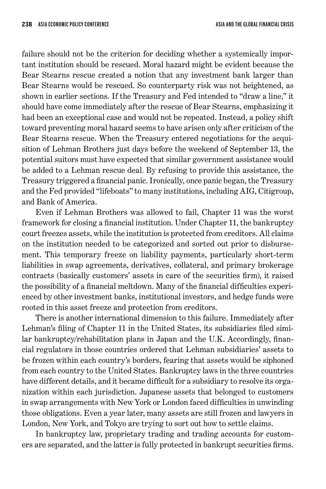failure should not be the criterion for deciding whether a systemically important institution should be rescued. Moral hazard might be evident because the Bear Stearns rescue created a notion that any investment bank larger than Bear Stearns would be rescued. So counterparty risk was not heightened, as shown in earlier sections. If the Treasury and Fed intended to "draw a line," it should have come immediately after the rescue of Bear Stearns, emphasizing it had been an exceptional case and would not be repeated. Instead, a policy shift toward preventing moral hazard seems to have arisen only after criticism of the Bear Stearns rescue. When the Treasury entered negotiations for the acquisition of Lehman Brothers just days before the weekend of September 13, the potential suitors must have expected that similar government assistance would be added to a Lehman rescue deal. By refusing to provide this assistance, the Treasury triggered a financial panic. Ironically, once panic began, the Treasury and the Fed provided "lifeboats" to many institutions, including AIG, Citigroup, and Bank of America.

Even if Lehman Brothers was allowed to fail, Chapter 11 was the worst framework for closing a financial institution. Under Chapter 11, the bankruptcy court freezes assets, while the institution is protected from creditors. All claims on the institution needed to be categorized and sorted out prior to disbursement. This temporary freeze on liability payments, particularly short-term liabilities in swap agreements, derivatives, collateral, and primary brokerage contracts (basically customers' assets in care of the securities firm), it raised the possibility of a financial meltdown. Many of the financial difficulties experienced by other investment banks, institutional investors, and hedge funds were rooted in this asset freeze and protection from creditors.

There is another international dimension to this failure. Immediately after Lehman's filing of Chapter 11 in the United States, its subsidiaries filed similar bankruptcy/rehabilitation plans in Japan and the U.K. Accordingly, financial regulators in those countries ordered that Lehman subsidiaries' assets to be frozen within each country's borders, fearing that assets would be siphoned from each country to the United States. Bankruptcy laws in the three countries have different details, and it became difficult for a subsidiary to resolve its organization within each jurisdiction. Japanese assets that belonged to customers in swap arrangements with New York or London faced difficulties in unwinding those obligations. Even a year later, many assets are still frozen and lawyers in London, New York, and Tokyo are trying to sort out how to settle claims.

In bankruptcy law, proprietary trading and trading accounts for customers are separated, and the latter is fully protected in bankrupt securities firms.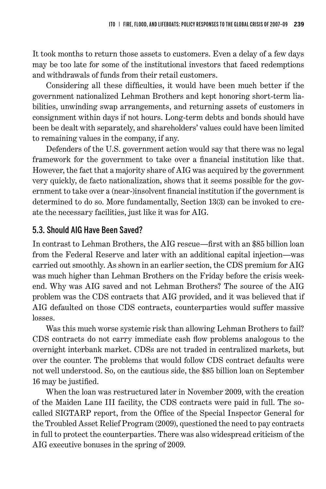It took months to return those assets to customers. Even a delay of a few days may be too late for some of the institutional investors that faced redemptions and withdrawals of funds from their retail customers.

Considering all these difficulties, it would have been much better if the government nationalized Lehman Brothers and kept honoring short-term liabilities, unwinding swap arrangements, and returning assets of customers in consignment within days if not hours. Long-term debts and bonds should have been be dealt with separately, and shareholders' values could have been limited to remaining values in the company, if any.

Defenders of the U.S. government action would say that there was no legal framework for the government to take over a financial institution like that. However, the fact that a majority share of AIG was acquired by the government very quickly, de facto nationalization, shows that it seems possible for the government to take over a (near-)insolvent financial institution if the government is determined to do so. More fundamentally, Section 13(3) can be invoked to create the necessary facilities, just like it was for AIG.

### 5.3. Should AIG Have Been Saved?

In contrast to Lehman Brothers, the AIG rescue—first with an \$85 billion loan from the Federal Reserve and later with an additional capital injection—was carried out smoothly. As shown in an earlier section, the CDS premium for AIG was much higher than Lehman Brothers on the Friday before the crisis weekend. Why was AIG saved and not Lehman Brothers? The source of the AIG problem was the CDS contracts that AIG provided, and it was believed that if AIG defaulted on those CDS contracts, counterparties would suffer massive losses.

Was this much worse systemic risk than allowing Lehman Brothers to fail? CDS contracts do not carry immediate cash flow problems analogous to the overnight interbank market. CDSs are not traded in centralized markets, but over the counter. The problems that would follow CDS contract defaults were not well understood. So, on the cautious side, the \$85 billion loan on September 16 may be justified.

When the loan was restructured later in November 2009, with the creation of the Maiden Lane III facility, the CDS contracts were paid in full. The socalled SIGTARP report, from the Office of the Special Inspector General for the Troubled Asset Relief Program (2009), questioned the need to pay contracts in full to protect the counterparties. There was also widespread criticism of the AIG executive bonuses in the spring of 2009.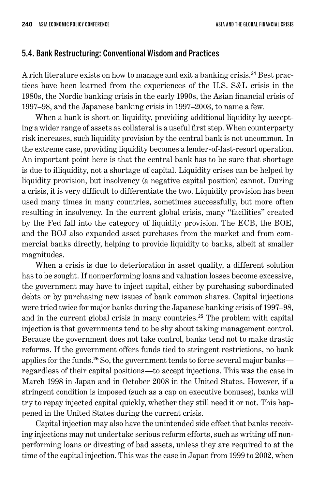#### 5.4. Bank Restructuring: Conventional Wisdom and Practices

A rich literature exists on how to manage and exit a banking crisis. 24 Best practices have been learned from the experiences of the U.S. S&L crisis in the 1980s, the Nordic banking crisis in the early 1990s, the Asian financial crisis of 1997–98, and the Japanese banking crisis in 1997–2003, to name a few.

When a bank is short on liquidity, providing additional liquidity by accepting a wider range of assets as collateral is a useful first step. When counterparty risk increases, such liquidity provision by the central bank is not uncommon. In the extreme case, providing liquidity becomes a lender-of-last-resort operation. An important point here is that the central bank has to be sure that shortage is due to illiquidity, not a shortage of capital. Liquidity crises can be helped by liquidity provision, but insolvency (a negative capital position) cannot. During a crisis, it is very difficult to differentiate the two. Liquidity provision has been used many times in many countries, sometimes successfully, but more often resulting in insolvency. In the current global crisis, many "facilities" created by the Fed fall into the category of liquidity provision. The ECB, the BOE, and the BOJ also expanded asset purchases from the market and from commercial banks directly, helping to provide liquidity to banks, albeit at smaller magnitudes.

When a crisis is due to deterioration in asset quality, a different solution has to be sought. If nonperforming loans and valuation losses become excessive, the government may have to inject capital, either by purchasing subordinated debts or by purchasing new issues of bank common shares. Capital injections were tried twice for major banks during the Japanese banking crisis of 1997–98, and in the current global crisis in many countries. <sup>25</sup> The problem with capital injection is that governments tend to be shy about taking management control. Because the government does not take control, banks tend not to make drastic reforms. If the government offers funds tied to stringent restrictions, no bank applies for the funds.<sup>26</sup> So, the government tends to force several major banks regardless of their capital positions—to accept injections. This was the case in March 1998 in Japan and in October 2008 in the United States. However, if a stringent condition is imposed (such as a cap on executive bonuses), banks will try to repay injected capital quickly, whether they still need it or not. This happened in the United States during the current crisis.

Capital injection may also have the unintended side effect that banks receiving injections may not undertake serious reform efforts, such as writing off nonperforming loans or divesting of bad assets, unless they are required to at the time of the capital injection. This was the case in Japan from 1999 to 2002, when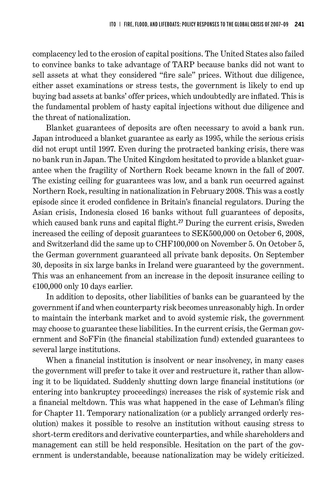complacency led to the erosion of capital positions. The United States also failed to convince banks to take advantage of TARP because banks did not want to sell assets at what they considered "fire sale" prices. Without due diligence, either asset examinations or stress tests, the government is likely to end up buying bad assets at banks' offer prices, which undoubtedly are inflated. This is the fundamental problem of hasty capital injections without due diligence and the threat of nationalization.

Blanket guarantees of deposits are often necessary to avoid a bank run. Japan introduced a blanket guarantee as early as 1995, while the serious crisis did not erupt until 1997. Even during the protracted banking crisis, there was no bank run in Japan. The United Kingdom hesitated to provide a blanket guarantee when the fragility of Northern Rock became known in the fall of 2007. The existing ceiling for guarantees was low, and a bank run occurred against Northern Rock, resulting in nationalization in February 2008. This was a costly episode since it eroded confidence in Britain's financial regulators. During the Asian crisis, Indonesia closed 16 banks without full guarantees of deposits, which caused bank runs and capital flight.<sup>27</sup> During the current crisis, Sweden increased the ceiling of deposit guarantees to SEK500,000 on October 6, 2008, and Switzerland did the same up to CHF100,000 on November 5. On October 5, the German government guaranteed all private bank deposits. On September 30, deposits in six large banks in Ireland were guaranteed by the government. This was an enhancement from an increase in the deposit insurance ceiling to €100,000 only 10 days earlier.

In addition to deposits, other liabilities of banks can be guaranteed by the government if and when counterparty risk becomes unreasonably high. In order to maintain the interbank market and to avoid systemic risk, the government may choose to guarantee these liabilities. In the current crisis, the German government and SoFFin (the financial stabilization fund) extended guarantees to several large institutions.

When a financial institution is insolvent or near insolvency, in many cases the government will prefer to take it over and restructure it, rather than allowing it to be liquidated. Suddenly shutting down large financial institutions (or entering into bankruptcy proceedings) increases the risk of systemic risk and a financial meltdown. This was what happened in the case of Lehman's filing for Chapter 11. Temporary nationalization (or a publicly arranged orderly resolution) makes it possible to resolve an institution without causing stress to short-term creditors and derivative counterparties, and while shareholders and management can still be held responsible. Hesitation on the part of the government is understandable, because nationalization may be widely criticized.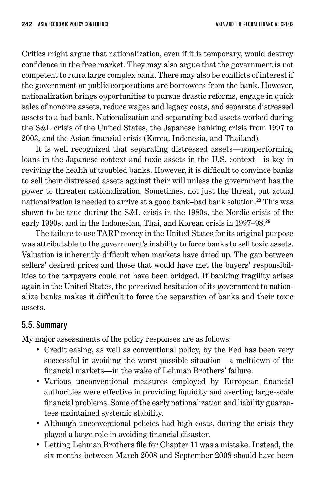Critics might argue that nationalization, even if it is temporary, would destroy confidence in the free market. They may also argue that the government is not competent to run a large complex bank. There may also be conflicts of interest if the government or public corporations are borrowers from the bank. However, nationalization brings opportunities to pursue drastic reforms, engage in quick sales of noncore assets, reduce wages and legacy costs, and separate distressed assets to a bad bank. Nationalization and separating bad assets worked during the S&L crisis of the United States, the Japanese banking crisis from 1997 to 2003, and the Asian financial crisis (Korea, Indonesia, and Thailand).

It is well recognized that separating distressed assets—nonperforming loans in the Japanese context and toxic assets in the U.S. context—is key in reviving the health of troubled banks. However, it is difficult to convince banks to sell their distressed assets against their will unless the government has the power to threaten nationalization. Sometimes, not just the threat, but actual nationalization is needed to arrive at a good bank–bad bank solution. <sup>28</sup> This was shown to be true during the S&L crisis in the 1980s, the Nordic crisis of the early 1990s, and in the Indonesian, Thai, and Korean crisis in 1997–98. 29

The failure to use TARP money in the United States for its original purpose was attributable to the government's inability to force banks to sell toxic assets. Valuation is inherently difficult when markets have dried up. The gap between sellers' desired prices and those that would have met the buyers' responsibilities to the taxpayers could not have been bridged. If banking fragility arises again in the United States, the perceived hesitation of its government to nationalize banks makes it difficult to force the separation of banks and their toxic assets.

### 5.5. Summary

My major assessments of the policy responses are as follows:

- Credit easing, as well as conventional policy, by the Fed has been very successful in avoiding the worst possible situation—a meltdown of the financial markets—in the wake of Lehman Brothers' failure.
- Various unconventional measures employed by European financial authorities were effective in providing liquidity and averting large-scale financial problems. Some of the early nationalization and liability guarantees maintained systemic stability.
- Although unconventional policies had high costs, during the crisis they played a large role in avoiding financial disaster.
- Letting Lehman Brothers file for Chapter 11 was a mistake. Instead, the six months between March 2008 and September 2008 should have been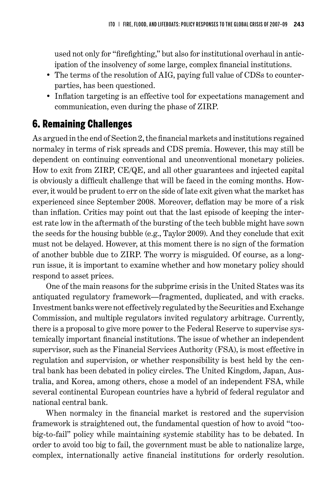used not only for "firefighting," but also for institutional overhaul in anticipation of the insolvency of some large, complex financial institutions.

- The terms of the resolution of AIG, paying full value of CDSs to counterparties, has been questioned.
- Inflation targeting is an effective tool for expectations management and communication, even during the phase of ZIRP.

### 6. Remaining Challenges

As argued in the end of Section 2, the financial markets and institutions regained normalcy in terms of risk spreads and CDS premia. However, this may still be dependent on continuing conventional and unconventional monetary policies. How to exit from ZIRP, CE/QE, and all other guarantees and injected capital is obviously a difficult challenge that will be faced in the coming months. However, it would be prudent to err on the side of late exit given what the market has experienced since September 2008. Moreover, deflation may be more of a risk than inflation. Critics may point out that the last episode of keeping the interest rate low in the aftermath of the bursting of the tech bubble might have sown the seeds for the housing bubble (e.g., Taylor 2009). And they conclude that exit must not be delayed. However, at this moment there is no sign of the formation of another bubble due to ZIRP. The worry is misguided. Of course, as a longrun issue, it is important to examine whether and how monetary policy should respond to asset prices.

One of the main reasons for the subprime crisis in the United States was its antiquated regulatory framework—fragmented, duplicated, and with cracks. Investment banks were not effectively regulated by the Securities and Exchange Commission, and multiple regulators invited regulatory arbitrage. Currently, there is a proposal to give more power to the Federal Reserve to supervise systemically important financial institutions. The issue of whether an independent supervisor, such as the Financial Services Authority (FSA), is most effective in regulation and supervision, or whether responsibility is best held by the central bank has been debated in policy circles. The United Kingdom, Japan, Australia, and Korea, among others, chose a model of an independent FSA, while several continental European countries have a hybrid of federal regulator and national central bank.

When normalcy in the financial market is restored and the supervision framework is straightened out, the fundamental question of how to avoid "toobig-to-fail" policy while maintaining systemic stability has to be debated. In order to avoid too big to fail, the government must be able to nationalize large, complex, internationally active financial institutions for orderly resolution.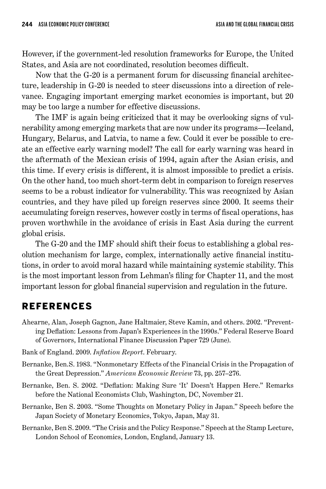However, if the government-led resolution frameworks for Europe, the United States, and Asia are not coordinated, resolution becomes difficult.

Now that the G-20 is a permanent forum for discussing financial architecture, leadership in G-20 is needed to steer discussions into a direction of relevance. Engaging important emerging market economies is important, but 20 may be too large a number for effective discussions.

The IMF is again being criticized that it may be overlooking signs of vulnerability among emerging markets that are now under its programs—Iceland, Hungary, Belarus, and Latvia, to name a few. Could it ever be possible to create an effective early warning model? The call for early warning was heard in the aftermath of the Mexican crisis of 1994, again after the Asian crisis, and this time. If every crisis is different, it is almost impossible to predict a crisis. On the other hand, too much short-term debt in comparison to foreign reserves seems to be a robust indicator for vulnerability. This was recognized by Asian countries, and they have piled up foreign reserves since 2000. It seems their accumulating foreign reserves, however costly in terms of fiscal operations, has proven worthwhile in the avoidance of crisis in East Asia during the current global crisis.

The G-20 and the IMF should shift their focus to establishing a global resolution mechanism for large, complex, internationally active financial institutions, in order to avoid moral hazard while maintaining systemic stability. This is the most important lesson from Lehman's filing for Chapter 11, and the most important lesson for global financial supervision and regulation in the future.

### References

- Ahearne, Alan, Joseph Gagnon, Jane Haltmaier, Steve Kamin, and others. 2002. "Preventing Deflation: Lessons from Japan's Experiences in the 1990s." Federal Reserve Board of Governors, International Finance Discussion Paper 729 (June).
- Bank of England. 2009. *Inflation Report*. February.
- Bernanke, Ben.S. 1983. "Nonmonetary Effects of the Financial Crisis in the Propagation of the Great Depression." *American Economic Review* 73, pp. 257–276.
- Bernanke, Ben. S. 2002. "Deflation: Making Sure 'It' Doesn't Happen Here." Remarks before the National Economists Club, Washington, DC, November 21.
- Bernanke, Ben S. 2003. "Some Thoughts on Monetary Policy in Japan." Speech before the Japan Society of Monetary Economics, Tokyo, Japan, May 31.
- Bernanke, Ben S. 2009. "The Crisis and the Policy Response." Speech at the Stamp Lecture, London School of Economics, London, England, January 13.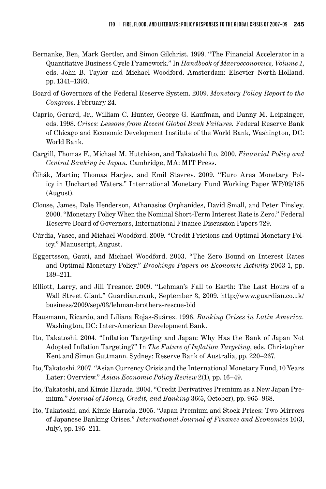- Bernanke, Ben, Mark Gertler, and Simon Gilchrist. 1999. "The Financial Accelerator in a Quantitative Business Cycle Framework." In *Handbook of Macroeconomics, Volume 1*, eds. John B. Taylor and Michael Woodford. Amsterdam: Elsevier North-Holland. pp. 1341–1393.
- Board of Governors of the Federal Reserve System. 2009. *Monetary Policy Report to the Congress*. February 24.
- Caprio, Gerard, Jr., William C. Hunter, George G. Kaufman, and Danny M. Leipzinger, eds. 1998. *Crises: Lessons from Recent Global Bank Failures.* Federal Reserve Bank of Chicago and Economic Development Institute of the World Bank, Washington, DC: World Bank.
- Cargill, Thomas F., Michael M. Hutchison, and Takatoshi Ito. 2000. *Financial Policy and Central Banking in Japan.* Cambridge, MA: MIT Press.
- Čihák, Martin; Thomas Harjes, and Emil Stavrev. 2009. "Euro Area Monetary Policy in Uncharted Waters." International Monetary Fund Working Paper WP/09/185 (August).
- Clouse, James, Dale Henderson, Athanasios Orphanides, David Small, and Peter Tinsley. 2000. "Monetary Policy When the Nominal Short-Term Interest Rate is Zero." Federal Reserve Board of Governors, International Finance Discussion Papers 729.
- Cúrdia, Vasco, and Michael Woodford. 2009. "Credit Frictions and Optimal Monetary Policy." Manuscript, August.
- Eggertsson, Gauti, and Michael Woodford. 2003. "The Zero Bound on Interest Rates and Optimal Monetary Policy." *Brookings Papers on Economic Activity* 2003-1, pp. 139–211.
- Elliott, Larry, and Jill Treanor. 2009. "Lehman's Fall to Earth: The Last Hours of a Wall Street Giant." Guardian.co.uk, September 3, 2009. http://www.guardian.co.uk/ business/2009/sep/03/lehman-brothers-rescue-bid
- Hausmann, Ricardo, and Liliana Rojas-Suárez. 1996. *Banking Crises in Latin America.* Washington, DC: Inter-American Development Bank.
- Ito, Takatoshi. 2004. "Inflation Targeting and Japan: Why Has the Bank of Japan Not Adopted Inflation Targeting?" In *The Future of Inflation Targeting*, eds. Christopher Kent and Simon Guttmann. Sydney: Reserve Bank of Australia, pp. 220–267.
- Ito, Takatoshi. 2007. "Asian Currency Crisis and the International Monetary Fund, 10 Years Later: Overview." *Asian Economic Policy Review* 2(1), pp. 16–49.
- Ito, Takatoshi, and Kimie Harada. 2004. "Credit Derivatives Premium as a New Japan Premium." *Journal of Money, Credit, and Banking* 36(5, October), pp. 965–968.
- Ito, Takatoshi, and Kimie Harada. 2005. "Japan Premium and Stock Prices: Two Mirrors of Japanese Banking Crises." *International Journal of Finance and Economics* 10(3, July), pp. 195–211.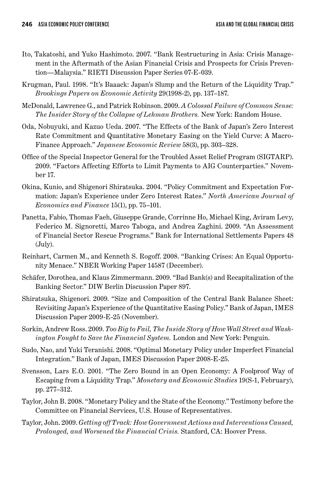- Ito, Takatoshi, and Yuko Hashimoto. 2007. "Bank Restructuring in Asia: Crisis Management in the Aftermath of the Asian Financial Crisis and Prospects for Crisis Prevention—Malaysia." RIETI Discussion Paper Series 07-E-039.
- Krugman, Paul. 1998. "It's Baaack: Japan's Slump and the Return of the Liquidity Trap." *Brookings Papers on Economic Activity* 29(1998-2), pp. 137–187.
- McDonald, Lawrence G., and Patrick Robinson. 2009. *A Colossal Failure of Common Sense: The Insider Story of the Collapse of Lehman Brothers.* New York: Random House.
- Oda, Nobuyuki, and Kazuo Ueda. 2007. "The Effects of the Bank of Japan's Zero Interest Rate Commitment and Quantitative Monetary Easing on the Yield Curve: A Macro-Finance Approach." *Japanese Economic Review* 58(3), pp. 303–328.
- Office of the Special Inspector General for the Troubled Asset Relief Program (SIGTARP). 2009. "Factors Affecting Efforts to Limit Payments to AIG Counterparties." November 17.
- Okina, Kunio, and Shigenori Shiratsuka. 2004. "Policy Commitment and Expectation Formation: Japan's Experience under Zero Interest Rates." *North American Journal of Economics and Finance* 15(1), pp. 75–101.
- Panetta, Fabio, Thomas Faeh, Giuseppe Grande, Corrinne Ho, Michael King, Aviram Levy, Federico M. Signoretti, Marco Taboga, and Andrea Zaghini. 2009. "An Assessment of Financial Sector Rescue Programs." Bank for International Settlements Papers 48 (July).
- Reinhart, Carmen M., and Kenneth S. Rogoff. 2008. "Banking Crises: An Equal Opportunity Menace." NBER Working Paper 14587 (December).
- Schäfer, Dorothea, and Klaus Zimmermann. 2009. "Bad Bank(s) and Recapitalization of the Banking Sector." DIW Berlin Discussion Paper 897.
- Shiratsuka, Shigenori. 2009. "Size and Composition of the Central Bank Balance Sheet: Revisiting Japan's Experience of the Quantitative Easing Policy." Bank of Japan, IMES Discussion Paper 2009-E-25 (November).
- Sorkin, Andrew Ross. 2009. *Too Big to Fail, The Inside Story of How Wall Street and Washington Fought to Save the Financial System.* London and New York: Penguin.
- Sudo, Nao, and Yuki Teranishi. 2008. "Optimal Monetary Policy under Imperfect Financial Integration." Bank of Japan, IMES Discussion Paper 2008-E-25.
- Svensson, Lars E.O. 2001. "The Zero Bound in an Open Economy: A Foolproof Way of Escaping from a Liquidity Trap." *Monetary and Economic Studies* 19(S-1, February), pp. 277–312.
- Taylor, John B. 2008. "Monetary Policy and the State of the Economy." Testimony before the Committee on Financial Services, U.S. House of Representatives.
- Taylor, John. 2009. *Getting off Track: How Government Actions and Interventions Caused, Prolonged, and Worsened the Financial Crisis.* Stanford, CA: Hoover Press.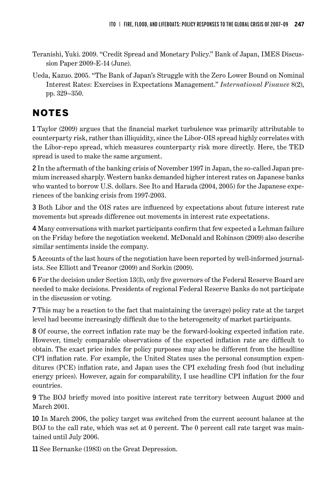- Teranishi, Yuki. 2009. "Credit Spread and Monetary Policy." Bank of Japan, IMES Discussion Paper 2009-E-14 (June).
- Ueda, Kazuo. 2005. "The Bank of Japan's Struggle with the Zero Lower Bound on Nominal Interest Rates: Exercises in Expectations Management." *International Finance* 8(2), pp. 329–350.

# NOTES

1 Taylor (2009) argues that the financial market turbulence was primarily attributable to counterparty risk, rather than illiquidity, since the Libor-OIS spread highly correlates with the Libor-repo spread, which measures counterparty risk more directly. Here, the TED spread is used to make the same argument.

2 In the aftermath of the banking crisis of November 1997 in Japan, the so-called Japan premium increased sharply. Western banks demanded higher interest rates on Japanese banks who wanted to borrow U.S. dollars. See Ito and Harada (2004, 2005) for the Japanese experiences of the banking crisis from 1997-2003.

3 Both Libor and the OIS rates are influenced by expectations about future interest rate movements but spreads difference out movements in interest rate expectations.

4 Many conversations with market participants confirm that few expected a Lehman failure on the Friday before the negotiation weekend. McDonald and Robinson (2009) also describe similar sentiments inside the company.

5 Accounts of the last hours of the negotiation have been reported by well-informed journalists. See Elliott and Treanor (2009) and Sorkin (2009).

6 For the decision under Section 13(3), only five governors of the Federal Reserve Board are needed to make decisions. Presidents of regional Federal Reserve Banks do not participate in the discussion or voting.

7 This may be a reaction to the fact that maintaining the (average) policy rate at the target level had become increasingly difficult due to the heterogeneity of market participants.

8 Of course, the correct inflation rate may be the forward-looking expected inflation rate. However, timely comparable observations of the expected inflation rate are difficult to obtain. The exact price index for policy purposes may also be different from the headline CPI inflation rate. For example, the United States uses the personal consumption expenditures (PCE) inflation rate, and Japan uses the CPI excluding fresh food (but including energy prices). However, again for comparability, I use headline CPI inflation for the four countries.

9 The BOJ briefly moved into positive interest rate territory between August 2000 and March 2001.

10 In March 2006, the policy target was switched from the current account balance at the BOJ to the call rate, which was set at 0 percent. The 0 percent call rate target was maintained until July 2006.

11 See Bernanke (1983) on the Great Depression.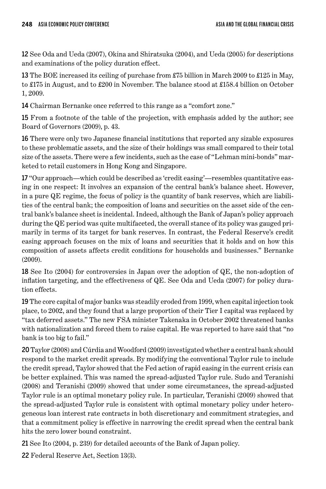12 See Oda and Ueda (2007), Okina and Shiratsuka (2004), and Ueda (2005) for descriptions and examinations of the policy duration effect.

13 The BOE increased its ceiling of purchase from £75 billion in March 2009 to £125 in May, to £175 in August, and to £200 in November. The balance stood at £158.4 billion on October 1, 2009.

14 Chairman Bernanke once referred to this range as a "comfort zone."

15 From a footnote of the table of the projection, with emphasis added by the author; see Board of Governors (2009), p. 43.

16 There were only two Japanese financial institutions that reported any sizable exposures to these problematic assets, and the size of their holdings was small compared to their total size of the assets. There were a few incidents, such as the case of "Lehman mini-bonds" marketed to retail customers in Hong Kong and Singapore.

17 "Our approach—which could be described as 'credit easing'—resembles quantitative easing in one respect: It involves an expansion of the central bank's balance sheet. However, in a pure QE regime, the focus of policy is the quantity of bank reserves, which are liabilities of the central bank; the composition of loans and securities on the asset side of the central bank's balance sheet is incidental. Indeed, although the Bank of Japan's policy approach during the QE period was quite multifaceted, the overall stance of its policy was gauged primarily in terms of its target for bank reserves. In contrast, the Federal Reserve's credit easing approach focuses on the mix of loans and securities that it holds and on how this composition of assets affects credit conditions for households and businesses." Bernanke (2009).

18 See Ito (2004) for controversies in Japan over the adoption of QE, the non-adoption of inflation targeting, and the effectiveness of QE. See Oda and Ueda (2007) for policy duration effects.

19 The core capital of major banks was steadily eroded from 1999, when capital injection took place, to 2002, and they found that a large proportion of their Tier I capital was replaced by "tax deferred assets." The new FSA minister Takenaka in October 2002 threatened banks with nationalization and forced them to raise capital. He was reported to have said that "no bank is too big to fail."

20 Taylor (2008) and Cúrdia and Woodford (2009) investigated whether a central bank should respond to the market credit spreads. By modifying the conventional Taylor rule to include the credit spread, Taylor showed that the Fed action of rapid easing in the current crisis can be better explained. This was named the spread-adjusted Taylor rule. Sudo and Teranishi (2008) and Teranishi (2009) showed that under some circumstances, the spread-adjusted Taylor rule is an optimal monetary policy rule. In particular, Teranishi (2009) showed that the spread-adjusted Taylor rule is consistent with optimal monetary policy under heterogeneous loan interest rate contracts in both discretionary and commitment strategies, and that a commitment policy is effective in narrowing the credit spread when the central bank hits the zero lower bound constraint.

21 See Ito (2004, p. 239) for detailed accounts of the Bank of Japan policy.

22 Federal Reserve Act, Section 13(3).